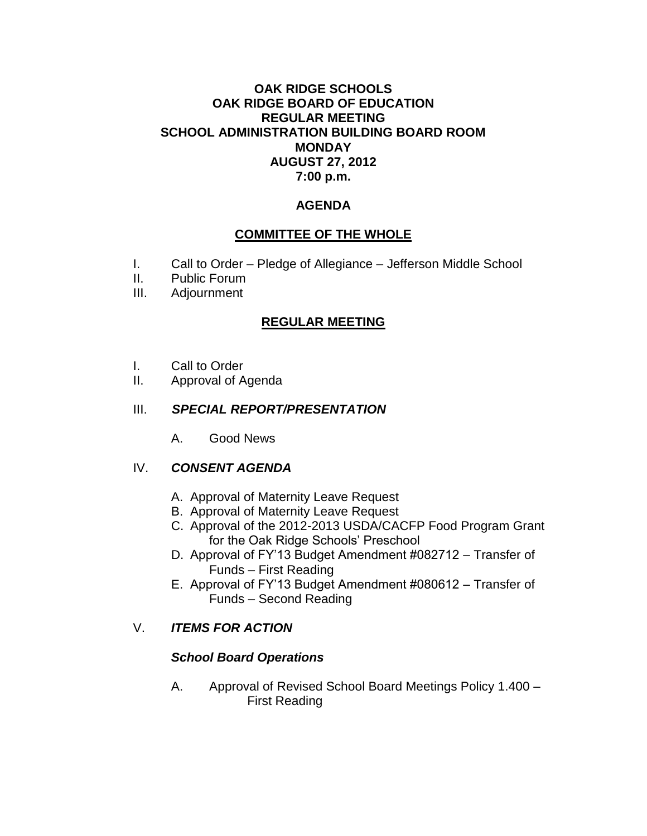#### **OAK RIDGE SCHOOLS OAK RIDGE BOARD OF EDUCATION REGULAR MEETING SCHOOL ADMINISTRATION BUILDING BOARD ROOM MONDAY AUGUST 27, 2012 7:00 p.m.**

#### **AGENDA**

#### **COMMITTEE OF THE WHOLE**

- I. Call to Order Pledge of Allegiance Jefferson Middle School
- II. Public Forum
- III. Adjournment

#### **REGULAR MEETING**

- I. Call to Order
- II. Approval of Agenda

#### III. *SPECIAL REPORT/PRESENTATION*

A. Good News

#### IV. *CONSENT AGENDA*

- A. Approval of Maternity Leave Request
- B. Approval of Maternity Leave Request
- C. Approval of the 2012-2013 USDA/CACFP Food Program Grant for the Oak Ridge Schools' Preschool
- D. Approval of FY'13 Budget Amendment #082712 Transfer of Funds – First Reading
- E. Approval of FY'13 Budget Amendment #080612 Transfer of Funds – Second Reading

#### V. *ITEMS FOR ACTION*

#### *School Board Operations*

A. Approval of Revised School Board Meetings Policy 1.400 – First Reading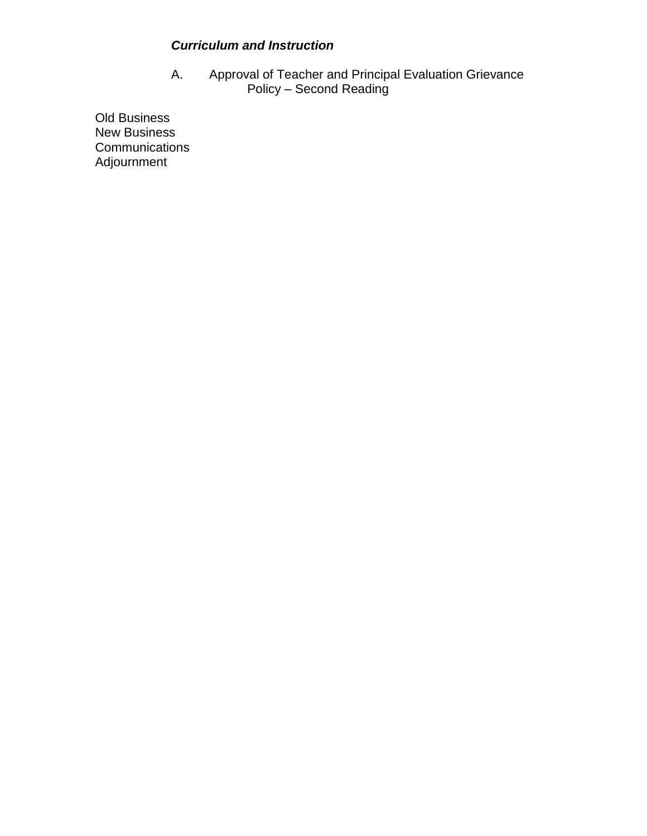#### *Curriculum and Instruction*

A. Approval of Teacher and Principal Evaluation Grievance Policy – Second Reading

Old Business New Business **Communications** Adjournment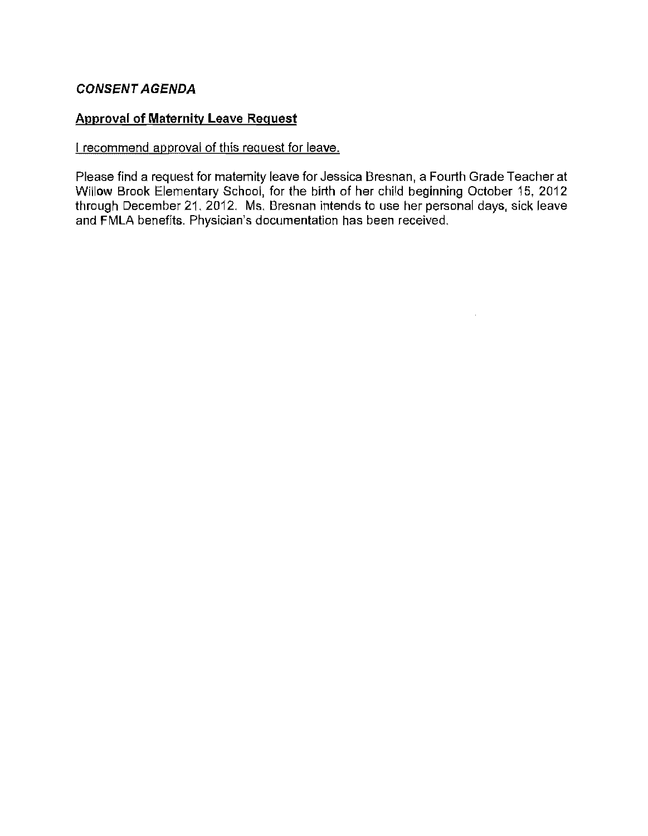#### *CONSENT AGENDA*

#### **Approval of Maternity Leave Request**

#### I recommend approval of this request for leave.

Please find a request for maternity leave for Jessica Bresnan, a Fourth Grade Teacher at Willow Brook Elementary School, for the birth of her child beginning October 15, 2012 through December 21, 2012, Ms, Bresnan intends to use her personal days, sick leave and FMLA benefits, Physician's documentation has been received,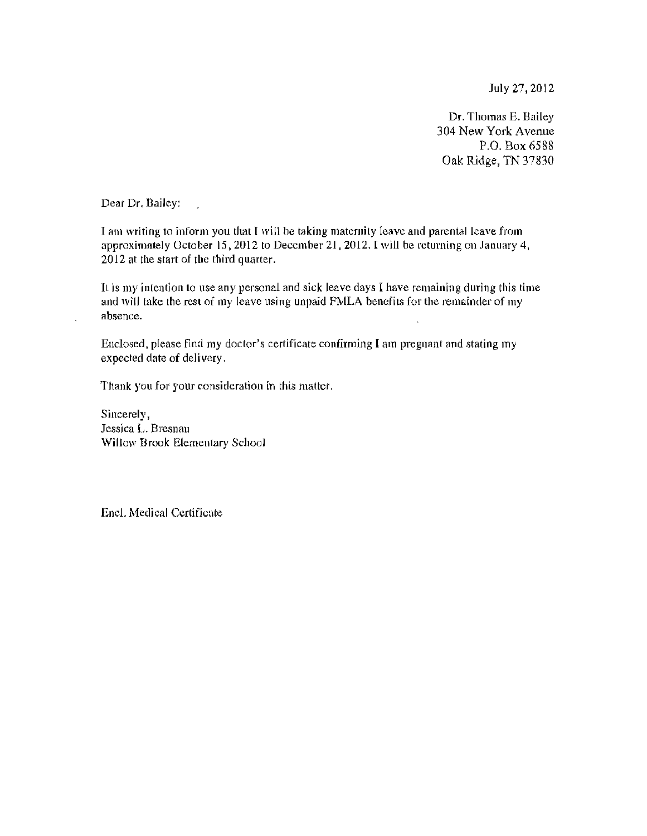July 27,2012

Dr. Thomas E. Bailey 304 New York Avenue P.O. Box 6588 Oak Ridge, TN 37830

Dear Dr. Bailey:

I am writing to inform you that I will be taking maternity leave and parental leave from approximately October 15, 2012 to December 21, 2012. I will be returning on January 4, 2012 at the start of the third quarter.

It is my intention to use any personal and sick leave days I have remaining during this time and will take the rest of my leave using unpaid FMLA henefits for the remainder of my absence.

Enclosed, please find my doctor's certificate confirming I am pregnant and stating my expected date of delivery.

Thank you for your consideration in this matter.

Sincerely, Jessica L. Bresnan Willow Brook Elementary School

Enc!. Medical Certificate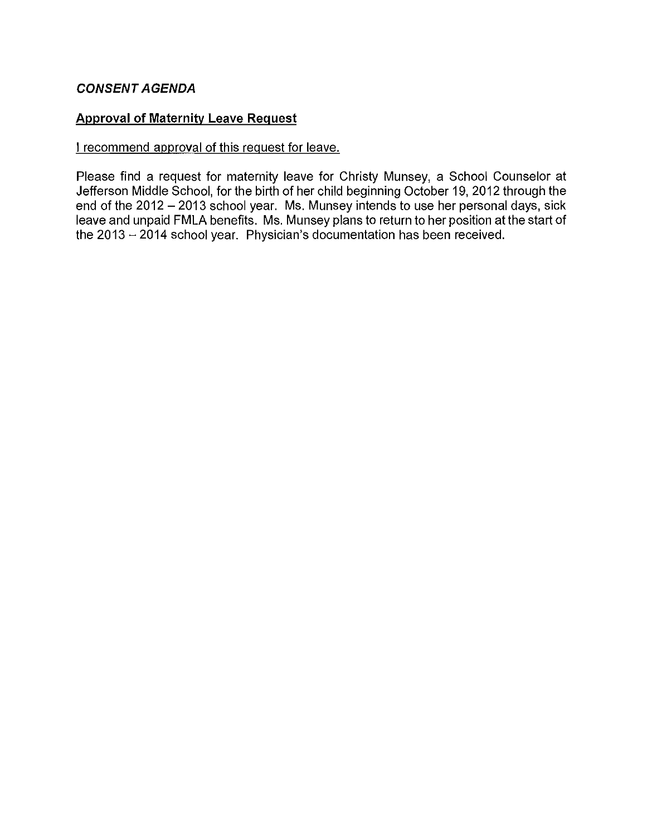#### **CONSENT AGENDA**

#### **Approval of Maternity Leave Request**

#### I recommend approval of this request for leave.

Please find a request for maternity leave for Christy Munsey, a School Counselor at Jefferson Middle School, for the birth of her child beginning October 19,2012 through the end of the 2012 - 2013 school year. Ms. Munsey intends to use her personal days, sick leave and unpaid **FMLA** benefits. Ms. Munsey plans to return to her position at the start of the 2013 - 2014 school year. Physician's documentation has been received.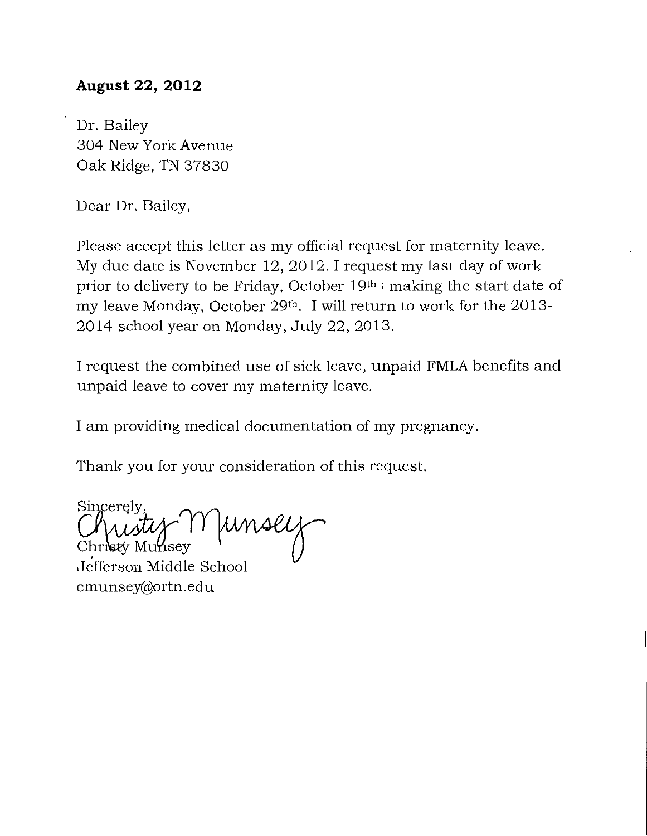#### **August 22, 2012**

Dr. Bailey 304 New York Avenue Oak Ridge, TN 37830

Dear Dr. Bailey,

Please accept this letter as my official request for maternity leave. My due date is November 12,2012. I request my last day of work prior to delivery to be Friday, October 19th ; making the start date of my leave Monday, October 29<sup>th</sup>. I will return to work for the 2013-2014 school year on Monday, July 22,2013.

I request the combined use of sick leave, unpaid FMLA benefits and unpaid leave to cover my maternity leave.

I am providing medical documentation of my pregnancy.

Thank you for your consideration of this request.

Sincerely Christy Munsey<br>Christy Munsey<br>Jefferson Middle School hristy Muhsey

cmunsey@ortn.edu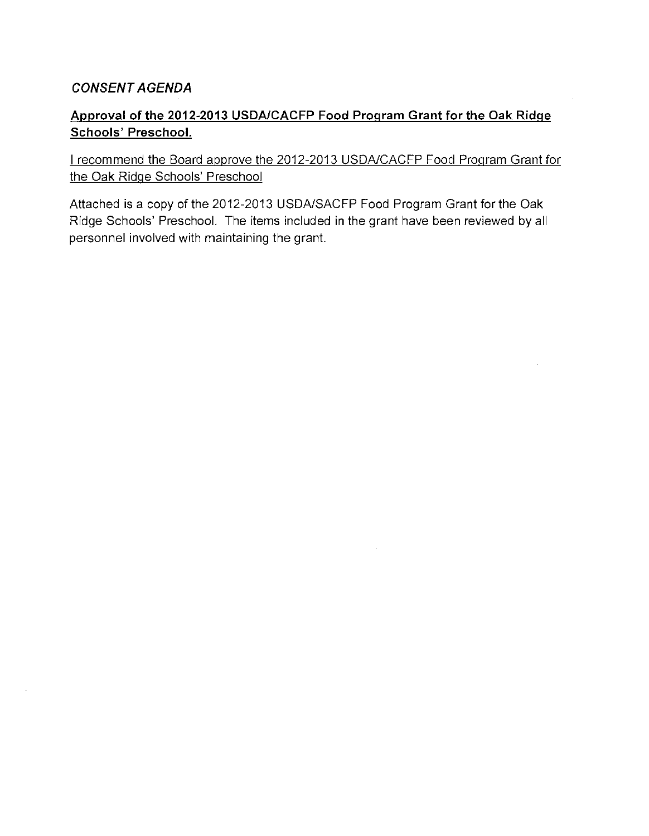#### *CONSENT AGENDA*

#### **Approval of the 2012-2013 USDAlCACFP Food Program Grant for the Oak Ridge Schools' Preschool.**

I recommend the Board approve the 2012-2013 USDAlCACFP Food Program Grant for the Oak Ridge Schools' Preschool

Attached **is** a copy of the 2012-2013 USDAlSACFP Food Program Grant for the Oak Ridge Schools' Preschool. The items included in the grant have been reviewed by all personnel involved with maintaining the grant.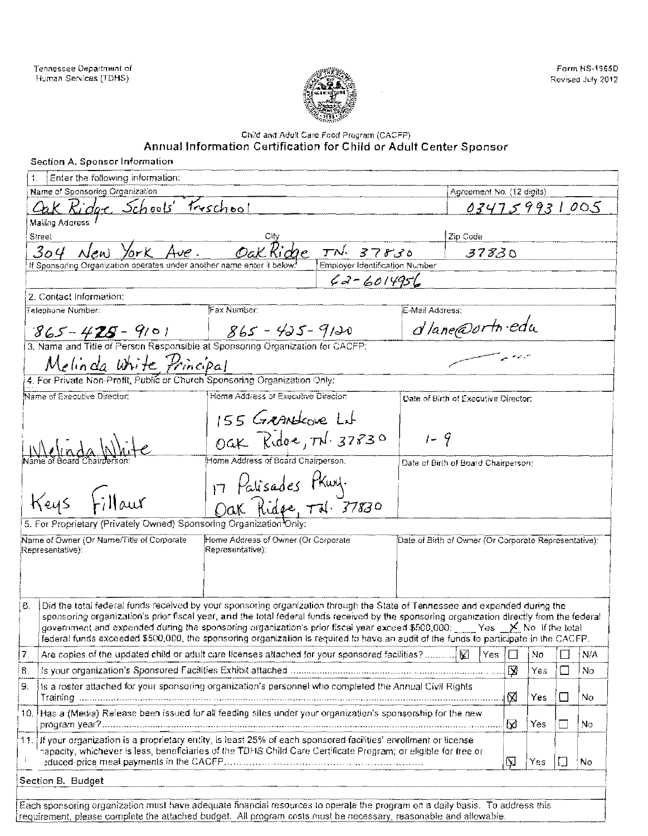

#### Child and Adult Care Food Program (CACFP)

| Agreement No. (12 digits)<br>Ridge Schools Freschool<br>034759931005<br>Zip Code<br>Ave.<br>$TN$ 37830<br>304<br>ork.<br>37830<br>If Sponsoring Organization operates under another name enter it below<br>Employer Identification Number<br>$62 - 6014956$<br>Fax Number:<br>汇-Mail Address:<br>d'Iane@ortn.edu<br>$1865 - 425 - 9120$<br>$865 - 425 - 9101$<br>3. Name and Title of Person Responsible at Sponsoring Organization for CACFP:<br>Melinda White Principal<br>4. For Private Non-Profit, Public or Church Sponsoring Organization Only:<br>Name of Executive Director:<br>Home Address of Executive Director:<br>Date of Birth of Executive Director:<br>155 Grandcove Lit<br>Oak Ridge, TN. 37830<br>$1 - 9$<br>Home Address of Board Chairperson:<br>Date of Birth of Board Chairperson;<br>17 Palisades Phury.<br>Dak Ridge, Trl. 37830<br>Keys Fillaur<br>5. For Proprietary (Privately Owned) Sponsoring Organization Only:<br>Name of Owner (Or Name/Title of Corporate<br>Home Address of Owner (Or Corporate<br>Date of Birth of Owner (Or Corporate Representative):<br>Representative):<br>Did the total federal funds received by your sponsoring organization through the State of Tennessee and expended during the<br>sponsoring organization's prior fiscal year, and the total federal funds received by the sponsoring organization directly from the federal<br>government and expended during the sponsoring organization's prior fiscal year exceed \$500,000; Fig. Yes $\times$ No. If the total<br>federal funds exceeded \$500,000, the sponsoring organization is required to have an audit of the funds to participate in the CACFP.<br>Yes   □<br>N/A<br>Nσ<br>図<br>Yes<br>ΙI<br>l No<br>is a roster attached for your sponsoring organization's personnel who completed the Annual Civil Rights.<br>⊠<br>Yes<br>No<br>ΙI<br>10. Has a (Media) Release been issued for all feeding sites under your organization's sponsorship for the new<br>⊠<br>Yes<br>No<br>11. If your organization is a proprietary entity, is least 25% of each sponsored facilities' enrollment or license<br>hapacity, whichever is less, beneficiaries of the TDHS Child Care Certificate Program; or eligible for free or<br>Yes<br>N<br>No | Enter the following information: |  |  |  |  |
|-----------------------------------------------------------------------------------------------------------------------------------------------------------------------------------------------------------------------------------------------------------------------------------------------------------------------------------------------------------------------------------------------------------------------------------------------------------------------------------------------------------------------------------------------------------------------------------------------------------------------------------------------------------------------------------------------------------------------------------------------------------------------------------------------------------------------------------------------------------------------------------------------------------------------------------------------------------------------------------------------------------------------------------------------------------------------------------------------------------------------------------------------------------------------------------------------------------------------------------------------------------------------------------------------------------------------------------------------------------------------------------------------------------------------------------------------------------------------------------------------------------------------------------------------------------------------------------------------------------------------------------------------------------------------------------------------------------------------------------------------------------------------------------------------------------------------------------------------------------------------------------------------------------------------------------------------------------------------------------------------------------------------------------------------------------------------------------------------------------------------------------------------------------------------------------------------------------------------------------------------------------------|----------------------------------|--|--|--|--|
|                                                                                                                                                                                                                                                                                                                                                                                                                                                                                                                                                                                                                                                                                                                                                                                                                                                                                                                                                                                                                                                                                                                                                                                                                                                                                                                                                                                                                                                                                                                                                                                                                                                                                                                                                                                                                                                                                                                                                                                                                                                                                                                                                                                                                                                                 | Name of Sponsoring Organization  |  |  |  |  |
|                                                                                                                                                                                                                                                                                                                                                                                                                                                                                                                                                                                                                                                                                                                                                                                                                                                                                                                                                                                                                                                                                                                                                                                                                                                                                                                                                                                                                                                                                                                                                                                                                                                                                                                                                                                                                                                                                                                                                                                                                                                                                                                                                                                                                                                                 |                                  |  |  |  |  |
|                                                                                                                                                                                                                                                                                                                                                                                                                                                                                                                                                                                                                                                                                                                                                                                                                                                                                                                                                                                                                                                                                                                                                                                                                                                                                                                                                                                                                                                                                                                                                                                                                                                                                                                                                                                                                                                                                                                                                                                                                                                                                                                                                                                                                                                                 | <b>Mailing Address</b>           |  |  |  |  |
|                                                                                                                                                                                                                                                                                                                                                                                                                                                                                                                                                                                                                                                                                                                                                                                                                                                                                                                                                                                                                                                                                                                                                                                                                                                                                                                                                                                                                                                                                                                                                                                                                                                                                                                                                                                                                                                                                                                                                                                                                                                                                                                                                                                                                                                                 | Street                           |  |  |  |  |
|                                                                                                                                                                                                                                                                                                                                                                                                                                                                                                                                                                                                                                                                                                                                                                                                                                                                                                                                                                                                                                                                                                                                                                                                                                                                                                                                                                                                                                                                                                                                                                                                                                                                                                                                                                                                                                                                                                                                                                                                                                                                                                                                                                                                                                                                 |                                  |  |  |  |  |
|                                                                                                                                                                                                                                                                                                                                                                                                                                                                                                                                                                                                                                                                                                                                                                                                                                                                                                                                                                                                                                                                                                                                                                                                                                                                                                                                                                                                                                                                                                                                                                                                                                                                                                                                                                                                                                                                                                                                                                                                                                                                                                                                                                                                                                                                 |                                  |  |  |  |  |
|                                                                                                                                                                                                                                                                                                                                                                                                                                                                                                                                                                                                                                                                                                                                                                                                                                                                                                                                                                                                                                                                                                                                                                                                                                                                                                                                                                                                                                                                                                                                                                                                                                                                                                                                                                                                                                                                                                                                                                                                                                                                                                                                                                                                                                                                 |                                  |  |  |  |  |
|                                                                                                                                                                                                                                                                                                                                                                                                                                                                                                                                                                                                                                                                                                                                                                                                                                                                                                                                                                                                                                                                                                                                                                                                                                                                                                                                                                                                                                                                                                                                                                                                                                                                                                                                                                                                                                                                                                                                                                                                                                                                                                                                                                                                                                                                 | 2. Contact Information:          |  |  |  |  |
|                                                                                                                                                                                                                                                                                                                                                                                                                                                                                                                                                                                                                                                                                                                                                                                                                                                                                                                                                                                                                                                                                                                                                                                                                                                                                                                                                                                                                                                                                                                                                                                                                                                                                                                                                                                                                                                                                                                                                                                                                                                                                                                                                                                                                                                                 | Telephone Number:                |  |  |  |  |
|                                                                                                                                                                                                                                                                                                                                                                                                                                                                                                                                                                                                                                                                                                                                                                                                                                                                                                                                                                                                                                                                                                                                                                                                                                                                                                                                                                                                                                                                                                                                                                                                                                                                                                                                                                                                                                                                                                                                                                                                                                                                                                                                                                                                                                                                 |                                  |  |  |  |  |
|                                                                                                                                                                                                                                                                                                                                                                                                                                                                                                                                                                                                                                                                                                                                                                                                                                                                                                                                                                                                                                                                                                                                                                                                                                                                                                                                                                                                                                                                                                                                                                                                                                                                                                                                                                                                                                                                                                                                                                                                                                                                                                                                                                                                                                                                 |                                  |  |  |  |  |
|                                                                                                                                                                                                                                                                                                                                                                                                                                                                                                                                                                                                                                                                                                                                                                                                                                                                                                                                                                                                                                                                                                                                                                                                                                                                                                                                                                                                                                                                                                                                                                                                                                                                                                                                                                                                                                                                                                                                                                                                                                                                                                                                                                                                                                                                 |                                  |  |  |  |  |
|                                                                                                                                                                                                                                                                                                                                                                                                                                                                                                                                                                                                                                                                                                                                                                                                                                                                                                                                                                                                                                                                                                                                                                                                                                                                                                                                                                                                                                                                                                                                                                                                                                                                                                                                                                                                                                                                                                                                                                                                                                                                                                                                                                                                                                                                 |                                  |  |  |  |  |
|                                                                                                                                                                                                                                                                                                                                                                                                                                                                                                                                                                                                                                                                                                                                                                                                                                                                                                                                                                                                                                                                                                                                                                                                                                                                                                                                                                                                                                                                                                                                                                                                                                                                                                                                                                                                                                                                                                                                                                                                                                                                                                                                                                                                                                                                 |                                  |  |  |  |  |
|                                                                                                                                                                                                                                                                                                                                                                                                                                                                                                                                                                                                                                                                                                                                                                                                                                                                                                                                                                                                                                                                                                                                                                                                                                                                                                                                                                                                                                                                                                                                                                                                                                                                                                                                                                                                                                                                                                                                                                                                                                                                                                                                                                                                                                                                 |                                  |  |  |  |  |
|                                                                                                                                                                                                                                                                                                                                                                                                                                                                                                                                                                                                                                                                                                                                                                                                                                                                                                                                                                                                                                                                                                                                                                                                                                                                                                                                                                                                                                                                                                                                                                                                                                                                                                                                                                                                                                                                                                                                                                                                                                                                                                                                                                                                                                                                 |                                  |  |  |  |  |
|                                                                                                                                                                                                                                                                                                                                                                                                                                                                                                                                                                                                                                                                                                                                                                                                                                                                                                                                                                                                                                                                                                                                                                                                                                                                                                                                                                                                                                                                                                                                                                                                                                                                                                                                                                                                                                                                                                                                                                                                                                                                                                                                                                                                                                                                 |                                  |  |  |  |  |
|                                                                                                                                                                                                                                                                                                                                                                                                                                                                                                                                                                                                                                                                                                                                                                                                                                                                                                                                                                                                                                                                                                                                                                                                                                                                                                                                                                                                                                                                                                                                                                                                                                                                                                                                                                                                                                                                                                                                                                                                                                                                                                                                                                                                                                                                 |                                  |  |  |  |  |
|                                                                                                                                                                                                                                                                                                                                                                                                                                                                                                                                                                                                                                                                                                                                                                                                                                                                                                                                                                                                                                                                                                                                                                                                                                                                                                                                                                                                                                                                                                                                                                                                                                                                                                                                                                                                                                                                                                                                                                                                                                                                                                                                                                                                                                                                 |                                  |  |  |  |  |
|                                                                                                                                                                                                                                                                                                                                                                                                                                                                                                                                                                                                                                                                                                                                                                                                                                                                                                                                                                                                                                                                                                                                                                                                                                                                                                                                                                                                                                                                                                                                                                                                                                                                                                                                                                                                                                                                                                                                                                                                                                                                                                                                                                                                                                                                 |                                  |  |  |  |  |
|                                                                                                                                                                                                                                                                                                                                                                                                                                                                                                                                                                                                                                                                                                                                                                                                                                                                                                                                                                                                                                                                                                                                                                                                                                                                                                                                                                                                                                                                                                                                                                                                                                                                                                                                                                                                                                                                                                                                                                                                                                                                                                                                                                                                                                                                 |                                  |  |  |  |  |
|                                                                                                                                                                                                                                                                                                                                                                                                                                                                                                                                                                                                                                                                                                                                                                                                                                                                                                                                                                                                                                                                                                                                                                                                                                                                                                                                                                                                                                                                                                                                                                                                                                                                                                                                                                                                                                                                                                                                                                                                                                                                                                                                                                                                                                                                 |                                  |  |  |  |  |
|                                                                                                                                                                                                                                                                                                                                                                                                                                                                                                                                                                                                                                                                                                                                                                                                                                                                                                                                                                                                                                                                                                                                                                                                                                                                                                                                                                                                                                                                                                                                                                                                                                                                                                                                                                                                                                                                                                                                                                                                                                                                                                                                                                                                                                                                 |                                  |  |  |  |  |
|                                                                                                                                                                                                                                                                                                                                                                                                                                                                                                                                                                                                                                                                                                                                                                                                                                                                                                                                                                                                                                                                                                                                                                                                                                                                                                                                                                                                                                                                                                                                                                                                                                                                                                                                                                                                                                                                                                                                                                                                                                                                                                                                                                                                                                                                 | Representative):                 |  |  |  |  |
|                                                                                                                                                                                                                                                                                                                                                                                                                                                                                                                                                                                                                                                                                                                                                                                                                                                                                                                                                                                                                                                                                                                                                                                                                                                                                                                                                                                                                                                                                                                                                                                                                                                                                                                                                                                                                                                                                                                                                                                                                                                                                                                                                                                                                                                                 |                                  |  |  |  |  |
|                                                                                                                                                                                                                                                                                                                                                                                                                                                                                                                                                                                                                                                                                                                                                                                                                                                                                                                                                                                                                                                                                                                                                                                                                                                                                                                                                                                                                                                                                                                                                                                                                                                                                                                                                                                                                                                                                                                                                                                                                                                                                                                                                                                                                                                                 |                                  |  |  |  |  |
|                                                                                                                                                                                                                                                                                                                                                                                                                                                                                                                                                                                                                                                                                                                                                                                                                                                                                                                                                                                                                                                                                                                                                                                                                                                                                                                                                                                                                                                                                                                                                                                                                                                                                                                                                                                                                                                                                                                                                                                                                                                                                                                                                                                                                                                                 |                                  |  |  |  |  |
|                                                                                                                                                                                                                                                                                                                                                                                                                                                                                                                                                                                                                                                                                                                                                                                                                                                                                                                                                                                                                                                                                                                                                                                                                                                                                                                                                                                                                                                                                                                                                                                                                                                                                                                                                                                                                                                                                                                                                                                                                                                                                                                                                                                                                                                                 | 8.                               |  |  |  |  |
|                                                                                                                                                                                                                                                                                                                                                                                                                                                                                                                                                                                                                                                                                                                                                                                                                                                                                                                                                                                                                                                                                                                                                                                                                                                                                                                                                                                                                                                                                                                                                                                                                                                                                                                                                                                                                                                                                                                                                                                                                                                                                                                                                                                                                                                                 |                                  |  |  |  |  |
|                                                                                                                                                                                                                                                                                                                                                                                                                                                                                                                                                                                                                                                                                                                                                                                                                                                                                                                                                                                                                                                                                                                                                                                                                                                                                                                                                                                                                                                                                                                                                                                                                                                                                                                                                                                                                                                                                                                                                                                                                                                                                                                                                                                                                                                                 |                                  |  |  |  |  |
|                                                                                                                                                                                                                                                                                                                                                                                                                                                                                                                                                                                                                                                                                                                                                                                                                                                                                                                                                                                                                                                                                                                                                                                                                                                                                                                                                                                                                                                                                                                                                                                                                                                                                                                                                                                                                                                                                                                                                                                                                                                                                                                                                                                                                                                                 | 7.                               |  |  |  |  |
|                                                                                                                                                                                                                                                                                                                                                                                                                                                                                                                                                                                                                                                                                                                                                                                                                                                                                                                                                                                                                                                                                                                                                                                                                                                                                                                                                                                                                                                                                                                                                                                                                                                                                                                                                                                                                                                                                                                                                                                                                                                                                                                                                                                                                                                                 | 8.                               |  |  |  |  |
|                                                                                                                                                                                                                                                                                                                                                                                                                                                                                                                                                                                                                                                                                                                                                                                                                                                                                                                                                                                                                                                                                                                                                                                                                                                                                                                                                                                                                                                                                                                                                                                                                                                                                                                                                                                                                                                                                                                                                                                                                                                                                                                                                                                                                                                                 | 9.                               |  |  |  |  |
|                                                                                                                                                                                                                                                                                                                                                                                                                                                                                                                                                                                                                                                                                                                                                                                                                                                                                                                                                                                                                                                                                                                                                                                                                                                                                                                                                                                                                                                                                                                                                                                                                                                                                                                                                                                                                                                                                                                                                                                                                                                                                                                                                                                                                                                                 |                                  |  |  |  |  |
|                                                                                                                                                                                                                                                                                                                                                                                                                                                                                                                                                                                                                                                                                                                                                                                                                                                                                                                                                                                                                                                                                                                                                                                                                                                                                                                                                                                                                                                                                                                                                                                                                                                                                                                                                                                                                                                                                                                                                                                                                                                                                                                                                                                                                                                                 |                                  |  |  |  |  |
|                                                                                                                                                                                                                                                                                                                                                                                                                                                                                                                                                                                                                                                                                                                                                                                                                                                                                                                                                                                                                                                                                                                                                                                                                                                                                                                                                                                                                                                                                                                                                                                                                                                                                                                                                                                                                                                                                                                                                                                                                                                                                                                                                                                                                                                                 |                                  |  |  |  |  |

Each sponsoring organization must have adequate financial resources to operate the program on a daily basis. To address this requirement, please complete the attached budget. All program costs must be necessary, reasonable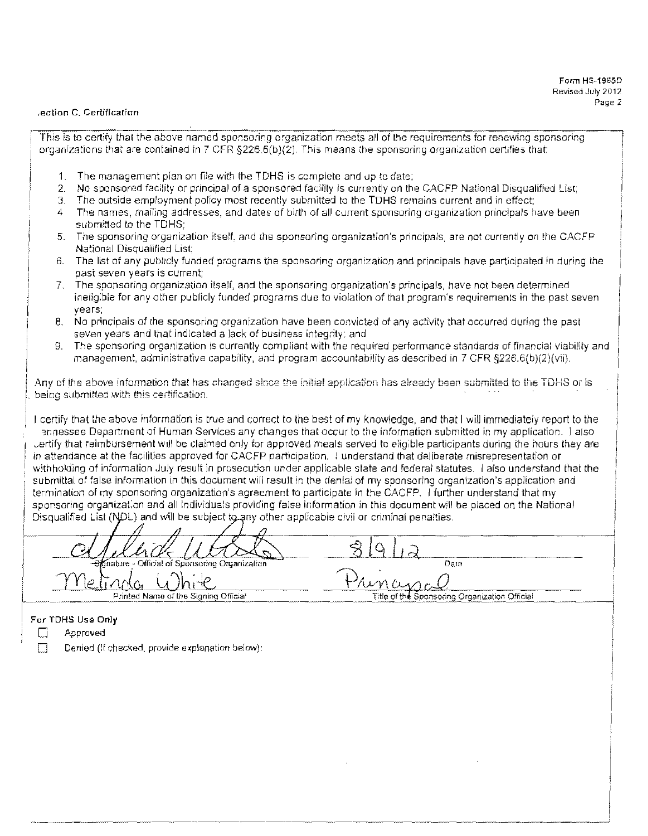I

#### ,ection C. Certification

This is to certify that the above named sponsoring organization meets all of the requirements for renewing sponsoring organizations that are contained in 7 CFR §226.6(b)(2). This means the sponsoring organization certifies that:

- 1. The management plan on file with the TDHS is complete and vp to date;
- 2. No sponsored facility or principal of a sponsored facility is currently on the CACFP National Disqualified List;
- 3. The outside employment policy most recently submitted to the TDHS remains current and in effect:
- 4 The names, mailing addresses, and dates of birth of all current sponsoring organization principals have been submitted to the TDHS;
- 5. The sponsoring organization itself, and the sponsoring organization's principals, are not currently on the CACFP National Disqualified List;
- 6. The list of any publicly funded programs the sponsoring organization and principals have participated in during the past seven years is current;
- 7. The sponsoring organization itself, and the sponsoring organization's principals, have not been determined ineligibie for any other publicly funded programs due to violation of that program's requirements in the past seven years;
- 8. No principals of (he sponsoring organ'zation have been convicted of any activity that occurred during the past seven years and that indicated a lack of business integrity: and
- 9. The sponsoring organization's currently compliant With the required performance standards of financial viability and management, administrative capability, and program accountability as described in 7 CFR §226.6(b)(2)(vii).

Any of the above information that has changed since the initial application has already been submitted to the TDHS or is being submitted with this certification.

I certify that the above information is true and correct to the best of my knowledge, and that I will immediately report to the ennessee Department of Human Services any changes that occur to the information submitted in my application. I also vertify that reimbursement will be claimed only for approved meals served to eligible participants during the hours they are in attendance at the facilities approved for CACFP participation. I understand that deliberate misrepresentation or withholding of information July result in prosecution under applicable state and federal statutes. I also understand that the submittal of false information in this document will result in the denial of my sponsoring organization's application and termination of my sponsoring organization's agreement to participate in the CACFP. I further understand that my sponsoring organization and all individuals providing false information in this document will be placed on the National

Disqualified List (NDL) and will be subject to any other applicable civil or criminal penalties.  $\int$ nature - Official of Sponsoring Organization . Dare Metingon Limbert Name of the Signing Official Filte of the Sponsoring Organization Official

- $\Box$  Approved  $\Box$
- $\Box$  Approved<br> $\Box$  Denied (If checked, provide explanation below):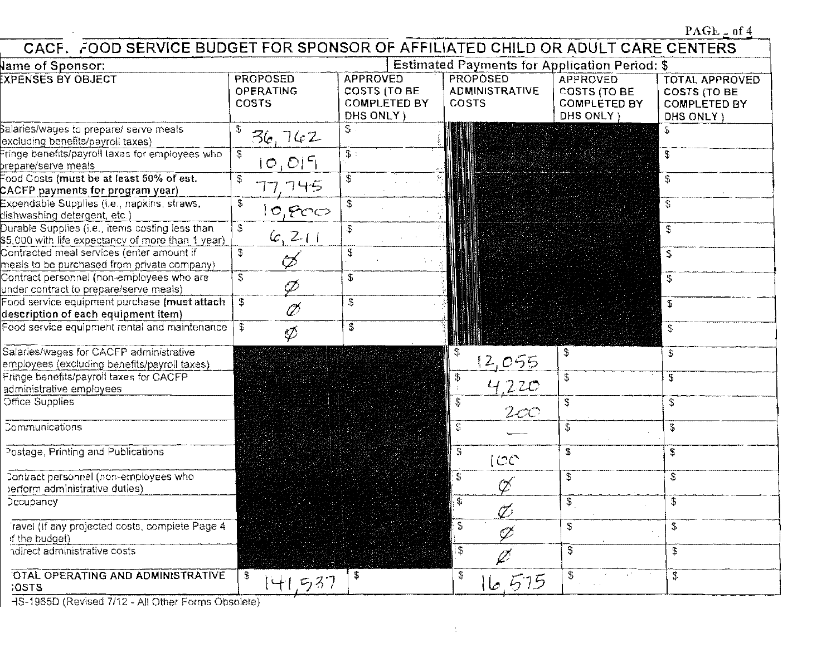|                                                                                                       |                                              |                                                                     |                                                      |                                                                             | PAGE $\geq$ of 4                                                           |
|-------------------------------------------------------------------------------------------------------|----------------------------------------------|---------------------------------------------------------------------|------------------------------------------------------|-----------------------------------------------------------------------------|----------------------------------------------------------------------------|
| CACF. FOOD SERVICE BUDGET FOR SPONSOR OF AFFILIATED CHILD OR ADULT CARE CENTERS                       |                                              |                                                                     |                                                      |                                                                             |                                                                            |
| <b>Jame of Sponsor:</b>                                                                               |                                              |                                                                     | <b>Estimated Payments for Application Period: \$</b> |                                                                             |                                                                            |
| <b>EXPENSES BY OBJECT</b>                                                                             | <b>PROPOSED</b><br><b>OPERATING</b><br>COSTS | <b>APPROVED</b><br>COSTS (TO BE<br><b>COMPLETED BY</b><br>DHS ONLY) | PROPOSED<br><b>ADMINISTRATIVE</b><br>COSTS           | <b>APPROVED</b><br><b>COSTS (TO BE</b><br><b>COMPLETED BY</b><br>DHS ONLY ) | <b>TOTAL APPROVED</b><br><b>COSTS (TO BE</b><br>COMPLETED BY<br>DHS ONLY ) |
| Salaries/wages to prepare/ serve meals<br>excluding benefits/payroll taxes)                           | 5<br>36, 762                                 | $\mathbb{S}$ .                                                      |                                                      |                                                                             |                                                                            |
| Fringe benefits/payroll laxes for employees who<br>prepare/serve meals                                | $\mathfrak{F}$<br>[0,0]                      | $\mathbb{S}$ :                                                      |                                                      |                                                                             | \$                                                                         |
| Food Costs (must be at least 50% of est.<br>CACFP payments for program year)                          | \$<br>77.745                                 | \$                                                                  |                                                      |                                                                             | \$                                                                         |
| Expendable Supplies (i.e., napkins, straws,<br>dishwashing detergent, etc.)                           | \$<br>10,000                                 | \$                                                                  |                                                      |                                                                             | $\overline{\mathcal{S}}$                                                   |
| Durable Supplies (i.e., items costing less than<br>\$5,000 with life expectancy of more than 1 year). | \$<br>6, 211                                 | \$                                                                  |                                                      |                                                                             | $\mathbb S$                                                                |
| Contracted meal services (enter amount if<br>meals to be purchased from private company)              | \$<br>Œ                                      | \$                                                                  |                                                      |                                                                             | \$                                                                         |
| Contract personnel (non-employees who are<br>under contract to prepare/serve meals)                   | $\mathfrak{P}$<br>Ø                          | \$                                                                  |                                                      |                                                                             | \$                                                                         |
| Food service equipment purchase (must attach<br>description of each equipment item)                   | S<br>Ø                                       | \$                                                                  |                                                      |                                                                             | £.                                                                         |
| Food service equipment rental and maintenance                                                         | \$<br>Ø                                      | \$                                                                  |                                                      |                                                                             | \$                                                                         |
| Salaries/wages for CACFP administrative<br>employees (excluding benefits/payroll taxes)               |                                              |                                                                     | 12,055                                               | \$                                                                          | S                                                                          |
| Fringe benefits/payroll taxes for CACFP<br>administrative employees                                   |                                              |                                                                     | \$<br>4.220                                          | \$                                                                          | \$                                                                         |
| Office Supplies                                                                                       |                                              |                                                                     | 2cc                                                  | \$                                                                          | \$                                                                         |
| Communications                                                                                        |                                              |                                                                     | $\mathbf{c}^\text{b}_\text{b}$                       | $\mathfrak{P}$                                                              | $\mathfrak{P}$                                                             |
| Postage, Printing and Publications                                                                    |                                              |                                                                     | \$<br> CC                                            | £                                                                           | \$                                                                         |
| Contract personnel (non-employees who<br>perform administrative duties)                               |                                              |                                                                     | \$<br>Œ                                              | \$                                                                          | $\mathfrak{F}$                                                             |
| Decupancy                                                                                             |                                              |                                                                     | Ò                                                    | \$                                                                          | \$                                                                         |
| Travel (If any projected costs, complete Page 4<br>if the budget)                                     |                                              |                                                                     | \$<br>Ø                                              | \$                                                                          | \$                                                                         |
| ndirect administrative costs                                                                          |                                              |                                                                     | ቶ                                                    | Ĵ                                                                           | \$                                                                         |
| OTAL OPERATING AND ADMINISTRATIVE<br>:OSTS                                                            | S<br>41.537                                  | \$                                                                  | \$<br>6,575                                          | S<br><b>Contract</b>                                                        | \$                                                                         |

- HS-1965D (Revised 7/12 - All Other Forms Obsolete)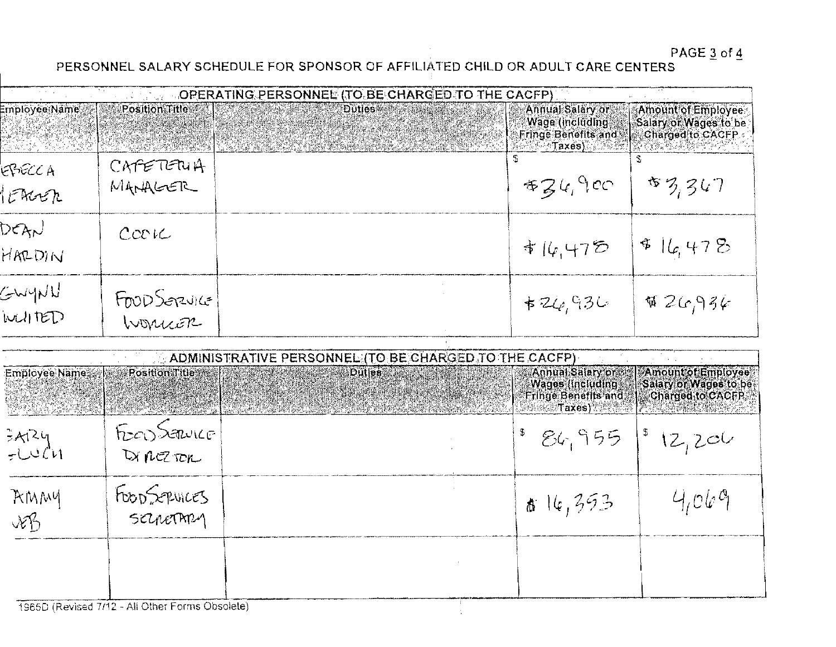PAGE  $\frac{3}{4}$  of  $\frac{4}{5}$ 

#### PERSONNEL SALARY SCHEDULE FOR SPONSOR OF AFFILIATED CHILD OR ADULT CARE CENTERS

|                                      |                                      | <b>A Final HOPERATING PERSONNEL (TO BE CHARGED TO THE CACFP)</b> |                                                                                |                                                                                             |
|--------------------------------------|--------------------------------------|------------------------------------------------------------------|--------------------------------------------------------------------------------|---------------------------------------------------------------------------------------------|
| Employee Name<br><u>gesti Martia</u> | Position Title<br>MARK AN ANG MARKAT | <b>Duties</b><br>State of the                                    | Annual Salary or<br>Wage (including)<br><b>Fringe Benefits and</b><br>∂Taxes)ৌ | Amount of Employee<br>Salary of Wages to be<br>Charged to CACFP<br><b>A GRASHER OCH ALL</b> |
| EPECCA<br>tencen                     | CAPETERUA<br>MANAGER                 |                                                                  | 434.900                                                                        | \$3,347                                                                                     |
| DEAN<br>HARDIN                       | $C$ CO $IC$                          |                                                                  | $\frac{1}{4}14.475$                                                            | 516.478                                                                                     |
| GWYNU<br>WUITED                      | FOOD Serzuice                        |                                                                  | $+26,936$                                                                      | W2G936                                                                                      |

|               |                | ADMINISTRATIVE PERSONNEL (TO BE CHARGED TO THE CACFP) |                                                                                                                                                                             |                                                                               |
|---------------|----------------|-------------------------------------------------------|-----------------------------------------------------------------------------------------------------------------------------------------------------------------------------|-------------------------------------------------------------------------------|
| Employee Name | Position Title | <b>Dutles</b> :                                       | <b>Fringe Benefits and   Charged to CACFP</b><br><b>A WARDED TAXES ) A WARDED TO A RELEASE MARKETING THE RELEASE OF A STATE OF A RELEASE OF A RELEASE OF A RELEASE OF A</b> | Annual Salary or Amount of Employee<br>Wages (including Salary or Wages to be |
| 3ARY<br>FLUCH | FOOD SANKE     |                                                       | $86,955$ $ 812,200$                                                                                                                                                         |                                                                               |
| AMMY<br>vB    | FOOD SEPUICES  |                                                       | 16,393                                                                                                                                                                      | 4,069                                                                         |
|               |                |                                                       |                                                                                                                                                                             |                                                                               |

1965D (Revised 7/12 - All Other Forms Obsolete)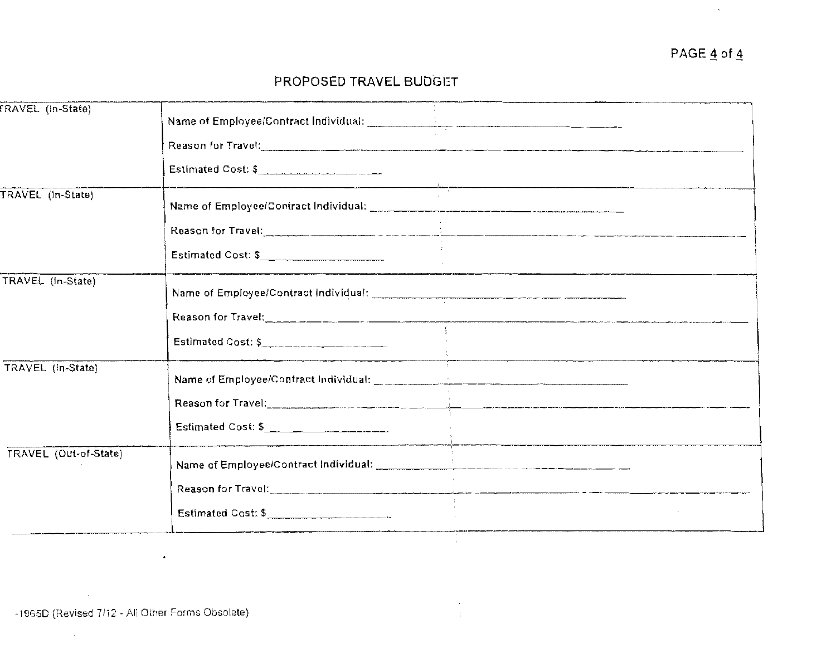#### PROPOSED TRAVEL BUDGET

| FRAVEL (In-State)     |                                            |
|-----------------------|--------------------------------------------|
|                       |                                            |
|                       | Estimated Cost: \$                         |
| TRAVEL (In-State)     |                                            |
|                       |                                            |
|                       | Estimated Cost: \$                         |
| TRAVEL (In-State)     |                                            |
|                       |                                            |
|                       | Estimated Cost: \$________________________ |
| TRAVEL (In-State)     |                                            |
|                       |                                            |
|                       | Estimated Cost: \$                         |
| TRAVEL (Out-of-State) |                                            |
|                       |                                            |
|                       | Estimated Cost: \$                         |
|                       |                                            |

 $\alpha$  $\frac{1}{4}$ 

 $\ddot{\phantom{a}}$ 

 $\hat{\mathbf{z}}$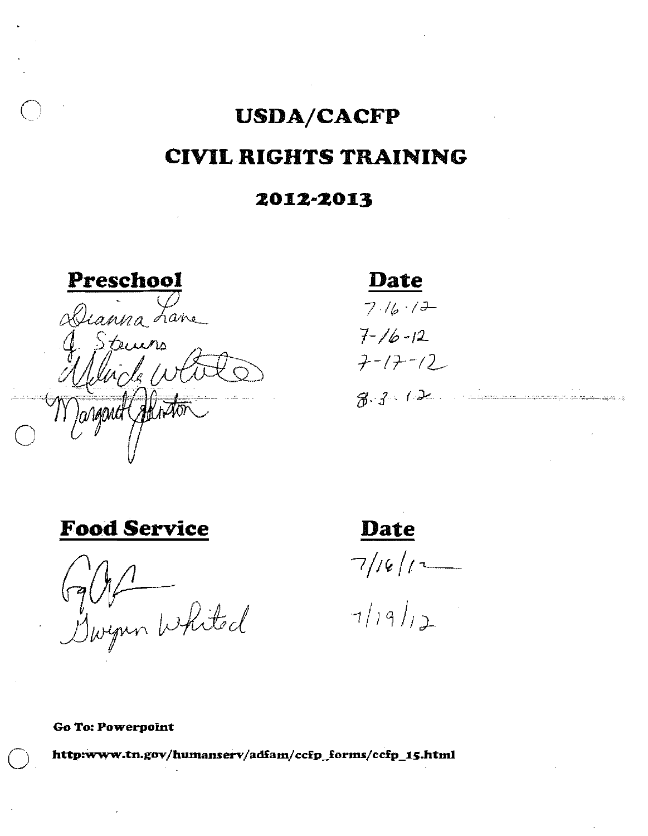### **USDA/CACFP CIVIL RIGHTS TRAINING**

#### 2012-2013

Preschool Alianna Lane

**Date** 

 $7.16.12$  $7 - 16 - 12$  $7 - 17 - 12$  $8.3.12...$ 

**Food Service** 

Gallt

<u>Date</u>  $7/16/1$ 

 $7/19/12$ 

Go To: Powerpoint

http:www.tn.gov/humanserv/adfam/ccfp\_forms/ccfp\_15.html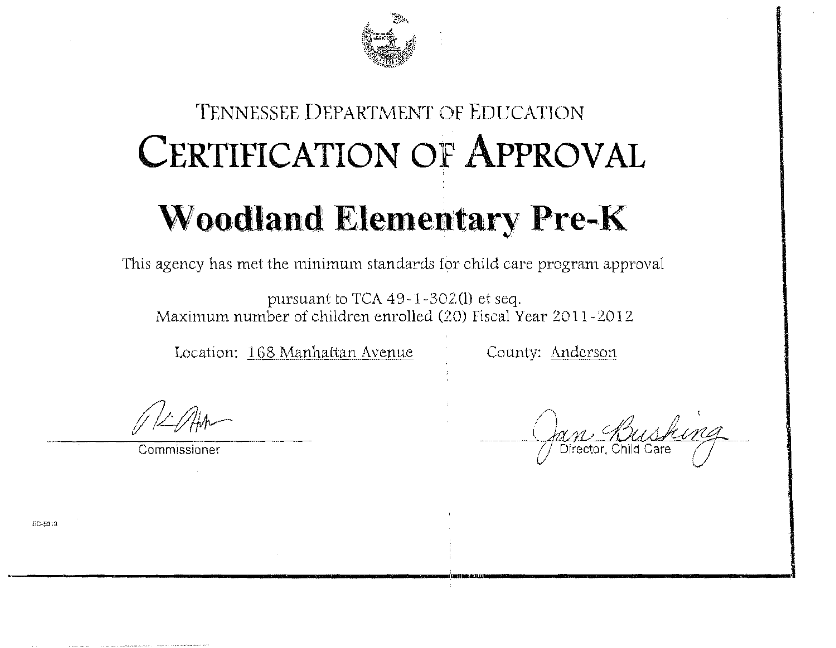

## TENNESSEE DEPARTMENT OF EDUCATION **CERTIFICATION OF APPROVAL Woodland Elementary Pre-K**

This agency has met the minimum standards for child care program approval

pursuant to TCA  $49-1-302(1)$  et seq. Maximum number of children enrolled (20) Fiscal Year 2011-2012

Location: 168 Manhattan Avenue

County: Anderson

Commissioner

FD-5019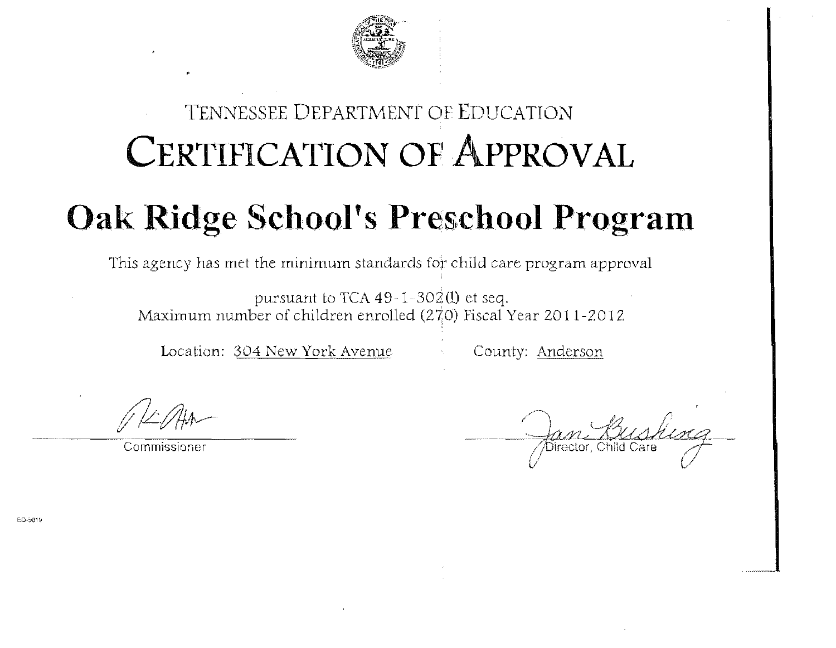

### TENNESSEE DEPARTMENT OF EDUCATION CERTIFICATION OF APPROVAL

## **Oak Ridge School's Preschool Program**

This agency has met the minimum standards for child care program approval

pursuant to TCA  $49-1-302(1)$  et seq. Maximum number of children enrolled  $(27,0)$  Fiscal Year 2011-2012

Location: 304 New York Avenue County: Anderson

Commissioner

ED-5019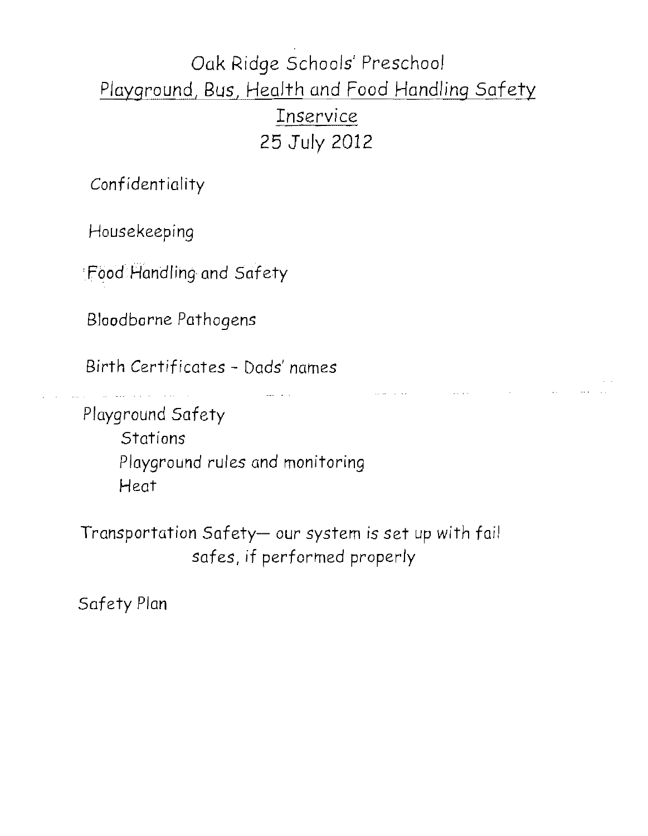### Oak Ridge Schools' Preschool Playground, Bus, Health and Food Handling Safety Inservice 25 July 2012

Confidentiality

Housekeeping

'Food Handling and Safety

Bloodborne Pathogens

Birth Certificates - Dads' names

Playground Safety **Stations** Playground rules and monitoring Heat

Transportation Safety- our system is set up with fail safes, if performed properly

Safety Plan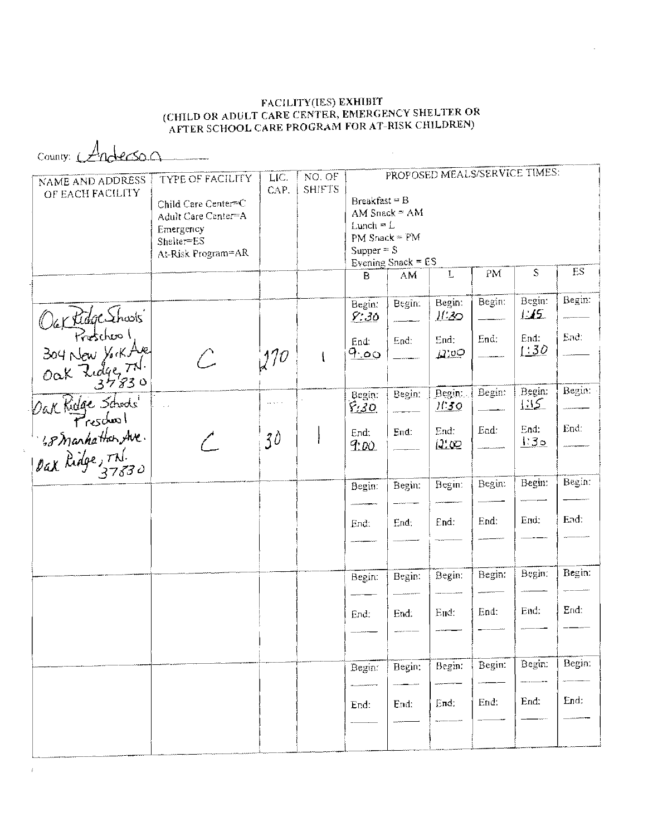# FACILITY(IES) EXHIBIT<br>(CHILD OR ADULT CARE CENTER, EMERGENCY SHELTER OR<br>(AFTER SCHOOL CARE PROGRAM FOR AT-RISK CHILDREN

 $\mathcal{L}^{\text{max}}_{\text{max}}$ 

County: Anderson

| NAME AND ADDRESS<br>OF EACH FACILITY                                                                                                    | <b>TYPE OF FACILITY</b><br>Child Care Center=C<br>Adult Care Center=A<br>Emergency<br>Shelter=ES<br>At-Risk Program=AR | LIC.<br>CAP. | NO. OF<br><b>SHIFTS</b> | Breakfast = B<br>$L$ unch = $L$<br>PM Snack = PM<br>Supper $= S$ | AM Snack = $AM$<br>Evening Snack = $ES$ | PROPOSED MEALS/SERVICE TIMES: |        |                        |                        |
|-----------------------------------------------------------------------------------------------------------------------------------------|------------------------------------------------------------------------------------------------------------------------|--------------|-------------------------|------------------------------------------------------------------|-----------------------------------------|-------------------------------|--------|------------------------|------------------------|
|                                                                                                                                         |                                                                                                                        |              |                         | B                                                                | ${\sf AM}$                              | $\mathbf L$                   | PM     | S                      | $\mathop{ES}\nolimits$ |
|                                                                                                                                         |                                                                                                                        |              |                         | Begin:<br>9:30                                                   | Begin:                                  | Begin:<br><u>]['20</u>        | Begin: | Begin:<br>$\perp$      | Begin:                 |
| Our Ridge Shoots<br>304 New York Ave<br>Oak Ridge Th.<br>Oak Ridge Schools<br>Dak Ridge Schools<br>1,8 Manhatter Ave.<br>Dak Ridge, Th. |                                                                                                                        | 1270         | $\mathfrak{t}$          | End:<br><u>ن م.</u>                                              | End:                                    | End:<br>$\mu$ io $\circ$      | End:   | End:<br><u>  30</u>    | End.                   |
|                                                                                                                                         |                                                                                                                        | الأمالات     |                         | Begin:<br>8:30                                                   | Begin:                                  | Begin:<br><u> 11:30</u>       | Begin: | Begin:<br><u> 1:15</u> | Begin:                 |
|                                                                                                                                         |                                                                                                                        | 30           |                         | End:<br>900                                                      | End:                                    | End:<br><u> J'</u> co         | End:   | End:<br>130            | End:                   |
|                                                                                                                                         |                                                                                                                        |              |                         | Begin:                                                           | Begin:                                  | Begin:                        | Begin: | Begin:                 | Begin:                 |
|                                                                                                                                         |                                                                                                                        |              |                         | End:                                                             | End:                                    | End:                          | End:   | End:                   | End:                   |
|                                                                                                                                         |                                                                                                                        |              |                         | Begin:                                                           | Begin:                                  | Begin:                        | Begin: | Begin:                 | Begin:                 |
|                                                                                                                                         |                                                                                                                        |              |                         | End:                                                             | End:                                    | End:                          | End:   | End:                   | End:                   |
|                                                                                                                                         |                                                                                                                        |              |                         | Begin:                                                           | Begin:                                  | Begin:                        | Begin: | Begin:                 | Begin:                 |
|                                                                                                                                         |                                                                                                                        |              |                         | End:                                                             | End:                                    | End:                          | End.   | End:                   | End.                   |
|                                                                                                                                         |                                                                                                                        |              |                         |                                                                  |                                         |                               |        |                        |                        |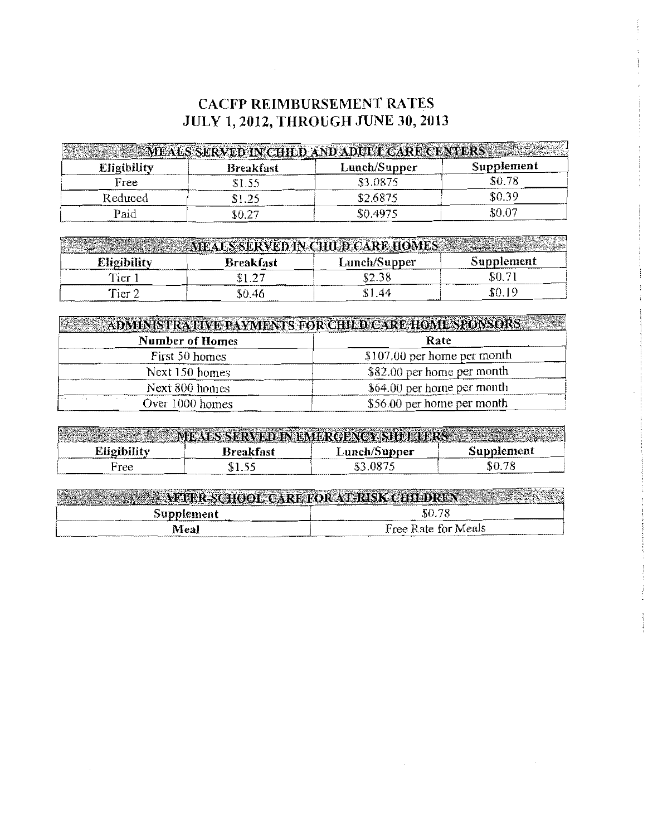#### **CACFP REIMBURSEMENT RATES JULY 1,2012, THROUGH JUNE 30, 2013**

|                    |                  | MEALS SERVED IN CHILD AND ADULT CARE CENTER |            |
|--------------------|------------------|---------------------------------------------|------------|
| <b>Eligibility</b> | <b>Breakfast</b> | Lunch/Supper                                | Supplement |
| Free               | \$1.55           | \$3.0875                                    | \$0.78     |
| Reduced            | \$1.25           | \$2.6875                                    | \$0.39     |
| $_{\rm Paid}$      | \$0.27           | \$0.4975                                    | \$0.07     |

|             |           | MEALS SERVED IN CHILD CARE HOME |            |
|-------------|-----------|---------------------------------|------------|
| Eligibility | Breakfast | Lunch/Supper                    | Supplement |
| Tier 1      |           | \$2.38                          | SO.7       |
| Tier 2      | 50.46     | 1.44                            | \$0.       |

| <b>Number of Homes</b> | <b>ADMINISTRATIVE PAYMENTS FOR CHILD CARE HOME SPONSORS</b><br>Rate |  |  |
|------------------------|---------------------------------------------------------------------|--|--|
| First 50 homes         | \$107.00 per home per month                                         |  |  |
| Next 150 homes         | \$82.00 per home per month                                          |  |  |
| Next 800 homes         | \$64.00 per home per month                                          |  |  |
| Over 1000 homes        | \$56.00 per home per month                                          |  |  |

|             | MEALS SERVED IN EMERGENCY SHELFURS AND AN |              |            |
|-------------|-------------------------------------------|--------------|------------|
| Eligibility | Breakfast                                 | Lunch/Supper | Supplement |
| Free        | \$1.55                                    | \$3.0875     | \$0.78     |

| W.<br>VE AFTER SCHOOL CARE FOR AT RISK CHEDREN |                     |
|------------------------------------------------|---------------------|
| Supplement                                     | \$0.78              |
| Meal                                           | Free Rate for Meals |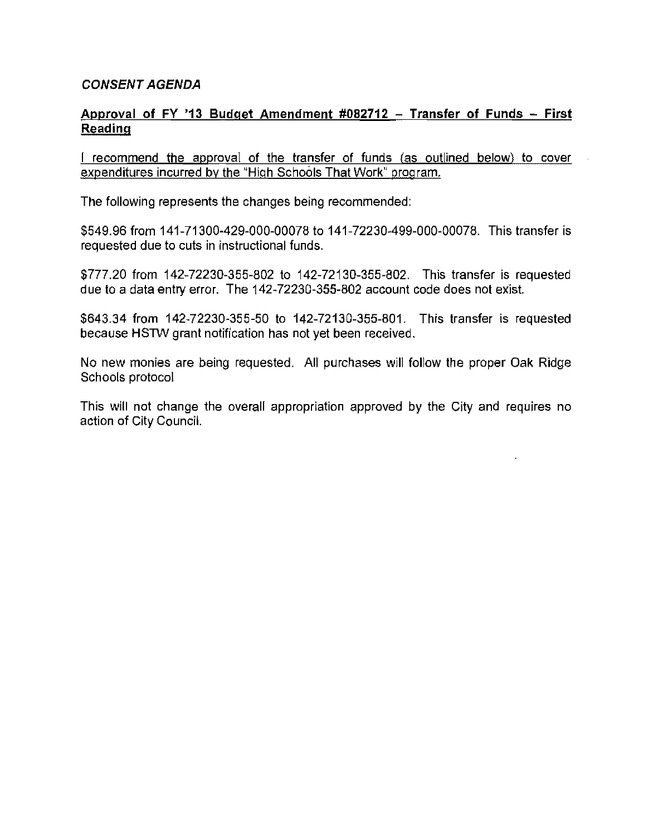#### **CONSENT AGENDA**

#### **Approval of FY '13 Budget Amendment #082712 - Transfer of Funds - First Reading**

I recommend the approval of the transfer of funds (as outlined below) to cover expenditures incurred by the "High Schools That Work" program.

The following represents the changes being recommended:

\$549.96 from 141-71300-429-000-00078 to 141-72230-499-000-00078. This transfer is requested due to cuts in instructional funds.

\$777.20 from 142-72230-355-802 to 142-72130-355-802. This transfer is requested due to a data entry error. The 142-72230-355-802 account code does not exist.

\$643.34 from 142-72230-355-50 to 142-72130-355-801. This transfer is requested because HSTW grant notification has not yet been received.

No new monies are being requested. **All** purchases will follow the proper Oak Ridge Schools protocol

This will not change the overall appropriation approved by the City and requires no action of City Council.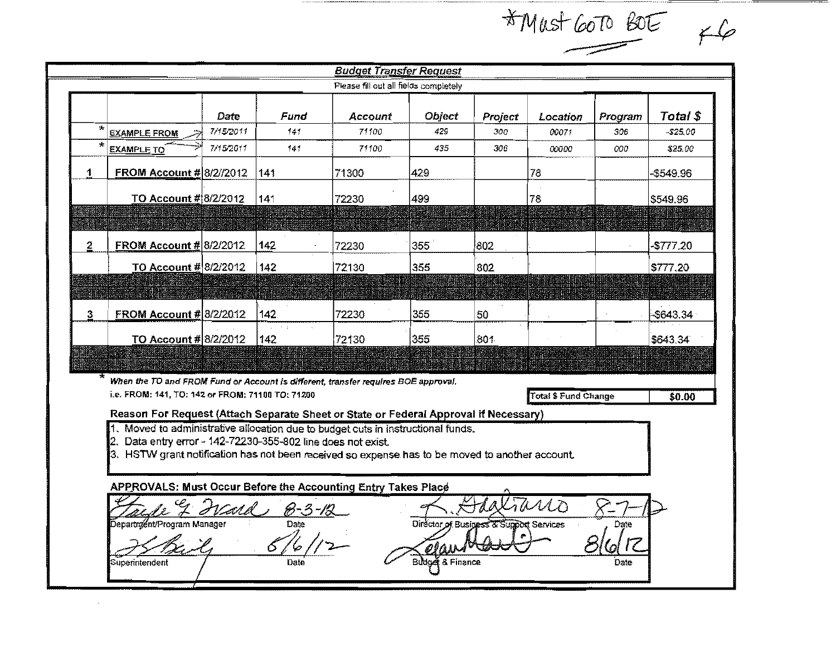|   |                                                                                                                                                                                                                                                                                                                                                 |           |                       | <b>Budget Transfer Request</b>        |                                         |            |                      |                            |              |
|---|-------------------------------------------------------------------------------------------------------------------------------------------------------------------------------------------------------------------------------------------------------------------------------------------------------------------------------------------------|-----------|-----------------------|---------------------------------------|-----------------------------------------|------------|----------------------|----------------------------|--------------|
|   |                                                                                                                                                                                                                                                                                                                                                 |           |                       | Please fill out all fields completely |                                         |            |                      |                            |              |
|   |                                                                                                                                                                                                                                                                                                                                                 | Date      | Fund                  | Account                               | Object                                  | Project    | Location             | Program                    | Total \$     |
| 大 | <b>EXAMPLE FROM</b>                                                                                                                                                                                                                                                                                                                             | 7/15/2011 | 141                   | 71100                                 | 429                                     | 300        | 00071                | 306                        | $-525.00$    |
|   | <b>EXAMPLE TO</b>                                                                                                                                                                                                                                                                                                                               | 7/15/2011 | 141                   | 71100                                 | 435                                     | 306        | 00000                | 000                        | \$25.00      |
| 1 | FROM Account # 8/2//2012                                                                                                                                                                                                                                                                                                                        |           | 141                   | 71300                                 | 429                                     |            | 78                   |                            | -\$549.96    |
|   | TO Account # 8/2/2012                                                                                                                                                                                                                                                                                                                           |           | 141                   | 72230                                 | 499                                     |            | 78                   |                            | \$549.96     |
|   |                                                                                                                                                                                                                                                                                                                                                 |           |                       |                                       |                                         |            |                      |                            |              |
| 2 | <b>FROM Account # 8/2/2012</b>                                                                                                                                                                                                                                                                                                                  |           | 142                   | 72230                                 | 355                                     | 802        |                      |                            | -\$777.20    |
|   | TO Account # 8/2/2012                                                                                                                                                                                                                                                                                                                           |           | 142                   | 72130                                 | 355                                     | 802        |                      |                            | \$777.20     |
|   |                                                                                                                                                                                                                                                                                                                                                 |           |                       |                                       |                                         |            |                      |                            |              |
| 3 | <b>FROM Account # 8/2/2012</b>                                                                                                                                                                                                                                                                                                                  |           | 142                   | 72230                                 | 355                                     | 50         |                      |                            | $-$ \$643.34 |
|   | TO Account # 8/2/2012                                                                                                                                                                                                                                                                                                                           |           | 142                   | 72130                                 | 355                                     | 801        |                      |                            | \$643.34     |
|   |                                                                                                                                                                                                                                                                                                                                                 |           |                       |                                       |                                         |            |                      |                            |              |
|   | When the TO and FROM Fund or Account is different, transfer requires BOE approval.                                                                                                                                                                                                                                                              |           |                       |                                       |                                         |            |                      |                            |              |
|   | i.e. FROM: 141, TO: 142 or FROM: 71100 TO: 71200                                                                                                                                                                                                                                                                                                |           |                       |                                       |                                         |            | Total \$ Fund Change |                            | \$0.00       |
|   | Reason For Request (Attach Separate Sheet or State or Federal Approval if Necessary)<br>1. Moved to administrative allocation due to budget cuts in instructional funds.<br>Data entry error - 142-72230-355-802 line does not exist.<br>Ι2.<br>3. HSTW grant notification has not been received so expense has to be moved to another account. |           |                       |                                       |                                         |            |                      |                            |              |
|   | APPROVALS: Must Occur Before the Accounting Entry Takes Place<br>IJ                                                                                                                                                                                                                                                                             |           |                       |                                       |                                         |            |                      |                            |              |
|   | aide 7 drard<br>Department/Program Manager                                                                                                                                                                                                                                                                                                      |           | <u>B-3-12</u><br>Date |                                       | Director of Business & Support Services | Staliano   |                      | $\times$<br>$-$ /L<br>Date |              |
|   |                                                                                                                                                                                                                                                                                                                                                 |           |                       |                                       | glave                                   | $\sqrt{2}$ |                      | $\omega$                   |              |

 $\mathcal{A}^{\mathcal{A}}$ 

-------------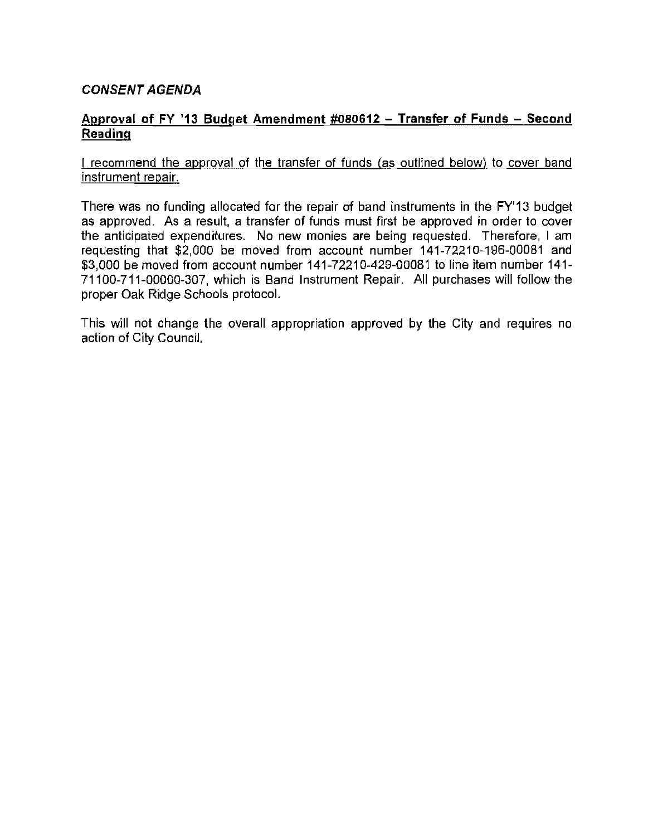#### CONSENT AGENDA

#### Approval of FY '13 Budget Amendment #080612 - Transfer of Funds - Second Reading

#### I recommend the approval of the transfer of funds (as outlined below) to cover band instrument repair.

There was no funding allocated for the repair of band instruments in the FY'13 budget as approved. As a result, a transfer of funds must first be approved in order to cover the anticipated expenditures. No new monies are being requested. Therefore, I am requesting that \$2,000 be moved from account number 141-72210-196-00081 and \$3,000 be moved from account number 141-72210-429-00081 to line item number 141- 71100-711-00000-307, which is Band Instrument Repair. All purchases will follow the proper Oak Ridge Schools protocol.

This will not change the overall appropriation approved by the City and requires no action of City Council.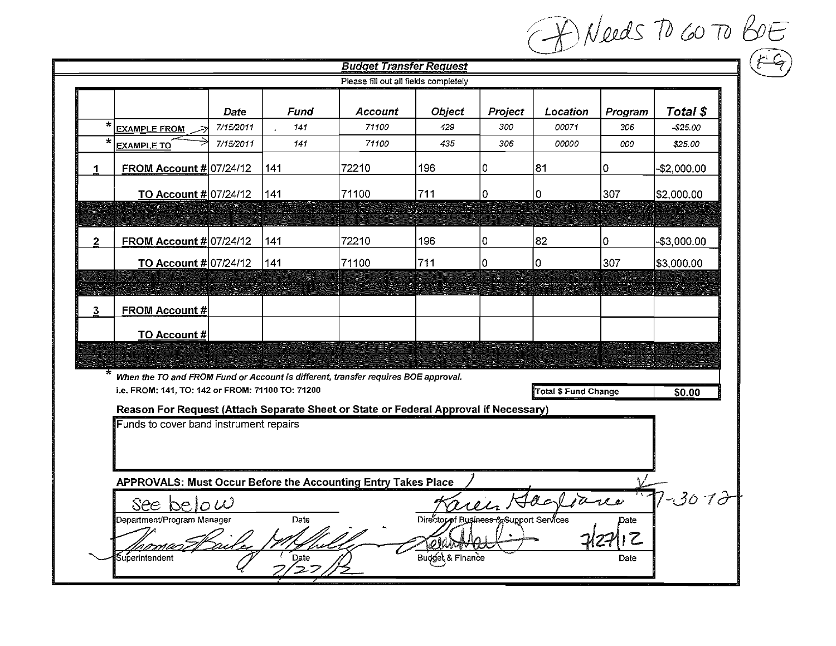|                                                                                                                                                                                                                      |                                                                                                    |           |      |                                |                           |         |          |         | A Needs TO 60 TO BOE |  |
|----------------------------------------------------------------------------------------------------------------------------------------------------------------------------------------------------------------------|----------------------------------------------------------------------------------------------------|-----------|------|--------------------------------|---------------------------|---------|----------|---------|----------------------|--|
|                                                                                                                                                                                                                      |                                                                                                    |           |      | <b>Budget Transfer Request</b> |                           |         |          |         |                      |  |
|                                                                                                                                                                                                                      | Please fill out all fields completely                                                              |           |      |                                |                           |         |          |         |                      |  |
|                                                                                                                                                                                                                      |                                                                                                    | Date      | Fund | <b>Account</b>                 | <b>Object</b>             | Project | Location | Program | Total \$             |  |
| $\star$                                                                                                                                                                                                              | <b>EXAMPLE FROM</b>                                                                                | 7/15/2011 | 141  | 71100                          | 429                       | 300     | 00071    | 306     | -\$25.00             |  |
| $\star$                                                                                                                                                                                                              | <b>EXAMPLE TO</b>                                                                                  | 7/15/2011 | 141  | 71100                          | 435                       | 306     | 00000    | 000     | \$25.00              |  |
|                                                                                                                                                                                                                      | <b>FROM Account # 07/24/12</b>                                                                     |           | 141  | 72210                          | 196                       | 10.     | 81       | 0       | $-$2,000.00$         |  |
|                                                                                                                                                                                                                      | <b>TO Account # 07/24/12</b>                                                                       |           | 141  | 71100                          | 711                       | 0       | 0        | 307     | \$2,000.00           |  |
|                                                                                                                                                                                                                      |                                                                                                    |           |      |                                |                           |         |          |         |                      |  |
| $\mathbf{2}$                                                                                                                                                                                                         | FROM Account $\#$ 07/24/12                                                                         |           | 141  | 72210                          | 196                       | 10      | 82       | 0       | $-$3,000.00$         |  |
|                                                                                                                                                                                                                      | <b>TO Account #</b> 07/24/12                                                                       |           | 141  | 71100                          | 711                       | 10.     | I٥       | 307     | \$3,000.00           |  |
|                                                                                                                                                                                                                      |                                                                                                    |           |      |                                |                           |         |          |         |                      |  |
| 3 <sup>1</sup>                                                                                                                                                                                                       | <b>FROM Account#</b>                                                                               |           |      |                                |                           |         |          |         |                      |  |
|                                                                                                                                                                                                                      | TO Account #                                                                                       |           |      |                                |                           |         |          |         |                      |  |
|                                                                                                                                                                                                                      |                                                                                                    |           |      |                                |                           |         |          |         |                      |  |
| $\star$                                                                                                                                                                                                              | When the TO and FROM Fund or Account is different, transfer requires BOE approval.                 |           |      |                                |                           |         |          |         |                      |  |
| i.e. FROM: 141, TO: 142 or FROM: 71100 TO: 71200<br>Total \$ Fund Change<br>\$0.00<br>Reason For Request (Attach Separate Sheet or State or Federal Approval if Necessary)<br>Funds to cover band instrument repairs |                                                                                                    |           |      |                                |                           |         |          |         |                      |  |
|                                                                                                                                                                                                                      |                                                                                                    |           |      |                                |                           |         |          |         |                      |  |
|                                                                                                                                                                                                                      |                                                                                                    |           |      |                                |                           |         |          |         |                      |  |
|                                                                                                                                                                                                                      |                                                                                                    |           |      |                                |                           |         |          |         |                      |  |
|                                                                                                                                                                                                                      | APPROVALS: Must Occur Before the Accounting Entry Takes Place<br>7-3072<br>rein Hagliance          |           |      |                                |                           |         |          |         |                      |  |
|                                                                                                                                                                                                                      | See below<br>Department/Program Manager<br>Director of Business & Support Services<br>Date<br>Date |           |      |                                |                           |         |          |         |                      |  |
|                                                                                                                                                                                                                      |                                                                                                    |           |      |                                |                           |         |          | 7.      |                      |  |
|                                                                                                                                                                                                                      |                                                                                                    |           |      |                                | <b>@ear<del>nya</del></b> |         |          |         |                      |  |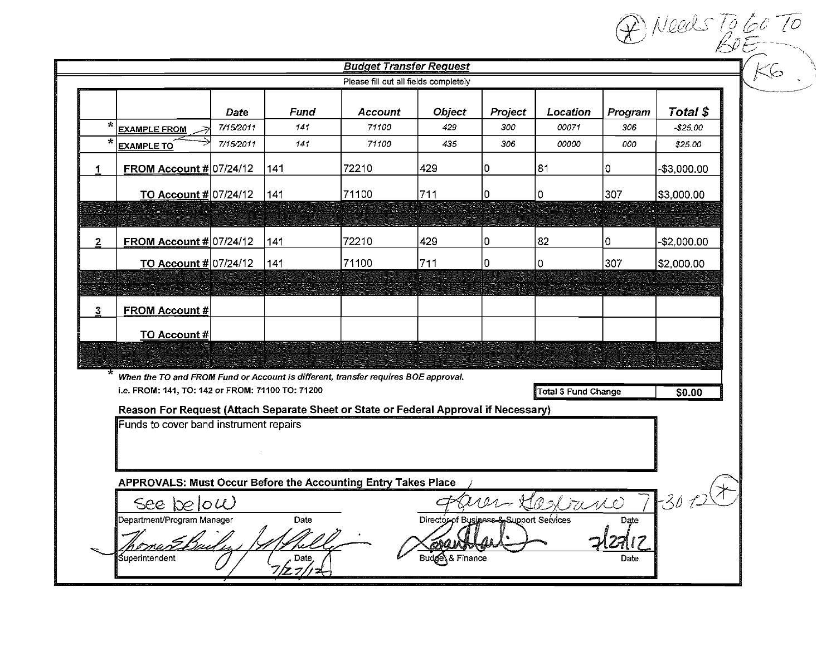| Total \$<br>Fund<br><b>Object</b><br>Project<br>Location<br>Program<br>Account<br>Date<br>$\star$<br>7/15/2011<br>141<br>71100<br>429<br>300<br>00071<br>306<br>$-$25.00$<br><b>EXAMPLE FROM</b><br>×<br>7/15/2011<br>71100<br>435<br>00000<br>141<br>306.<br>000<br>\$25.00<br><b>EXAMPLE TO</b><br>429<br>81<br>FROM Account $\#$ 07/24/12<br>72210<br>141<br>10<br>10<br>-\$3,000.00<br>TO Account $#$ 07/24/12<br>141<br>71100<br>711<br>307<br>10<br>0<br> \$3.000.00<br>72210<br>82<br>FROM Account # 07/24/12<br>429<br>-\$2,000.00<br>$\mathbf{2}$<br>141<br>10<br>I٥<br>71100<br>TO Account # 07/24/12<br>711<br>0<br>307<br>141<br>0<br>\$2,000.00<br><b>FROM Account#</b><br>TO Account #<br>$\star$<br>When the TO and FROM Fund or Account is different, transfer requires BOE approval.<br>i.e. FROM: 141, TO: 142 or FROM: 71100 TO: 71200<br><b>Total \$ Fund Change</b><br>\$0.00<br>Reason For Request (Attach Separate Sheet or State or Federal Approval if Necessary)<br>Funds to cover band instrument repairs |    |                                       |  |  | <b>Budget Transfer Request</b> |  |  |  |  |  |
|--------------------------------------------------------------------------------------------------------------------------------------------------------------------------------------------------------------------------------------------------------------------------------------------------------------------------------------------------------------------------------------------------------------------------------------------------------------------------------------------------------------------------------------------------------------------------------------------------------------------------------------------------------------------------------------------------------------------------------------------------------------------------------------------------------------------------------------------------------------------------------------------------------------------------------------------------------------------------------------------------------------------------------------|----|---------------------------------------|--|--|--------------------------------|--|--|--|--|--|
|                                                                                                                                                                                                                                                                                                                                                                                                                                                                                                                                                                                                                                                                                                                                                                                                                                                                                                                                                                                                                                      |    | Please fill out all fields completely |  |  |                                |  |  |  |  |  |
|                                                                                                                                                                                                                                                                                                                                                                                                                                                                                                                                                                                                                                                                                                                                                                                                                                                                                                                                                                                                                                      |    |                                       |  |  |                                |  |  |  |  |  |
|                                                                                                                                                                                                                                                                                                                                                                                                                                                                                                                                                                                                                                                                                                                                                                                                                                                                                                                                                                                                                                      |    |                                       |  |  |                                |  |  |  |  |  |
|                                                                                                                                                                                                                                                                                                                                                                                                                                                                                                                                                                                                                                                                                                                                                                                                                                                                                                                                                                                                                                      |    |                                       |  |  |                                |  |  |  |  |  |
|                                                                                                                                                                                                                                                                                                                                                                                                                                                                                                                                                                                                                                                                                                                                                                                                                                                                                                                                                                                                                                      | 1. |                                       |  |  |                                |  |  |  |  |  |
|                                                                                                                                                                                                                                                                                                                                                                                                                                                                                                                                                                                                                                                                                                                                                                                                                                                                                                                                                                                                                                      |    |                                       |  |  |                                |  |  |  |  |  |
|                                                                                                                                                                                                                                                                                                                                                                                                                                                                                                                                                                                                                                                                                                                                                                                                                                                                                                                                                                                                                                      |    |                                       |  |  |                                |  |  |  |  |  |
|                                                                                                                                                                                                                                                                                                                                                                                                                                                                                                                                                                                                                                                                                                                                                                                                                                                                                                                                                                                                                                      |    |                                       |  |  |                                |  |  |  |  |  |
|                                                                                                                                                                                                                                                                                                                                                                                                                                                                                                                                                                                                                                                                                                                                                                                                                                                                                                                                                                                                                                      |    |                                       |  |  |                                |  |  |  |  |  |
|                                                                                                                                                                                                                                                                                                                                                                                                                                                                                                                                                                                                                                                                                                                                                                                                                                                                                                                                                                                                                                      |    |                                       |  |  |                                |  |  |  |  |  |
|                                                                                                                                                                                                                                                                                                                                                                                                                                                                                                                                                                                                                                                                                                                                                                                                                                                                                                                                                                                                                                      |    |                                       |  |  |                                |  |  |  |  |  |
|                                                                                                                                                                                                                                                                                                                                                                                                                                                                                                                                                                                                                                                                                                                                                                                                                                                                                                                                                                                                                                      | 3. |                                       |  |  |                                |  |  |  |  |  |
|                                                                                                                                                                                                                                                                                                                                                                                                                                                                                                                                                                                                                                                                                                                                                                                                                                                                                                                                                                                                                                      |    |                                       |  |  |                                |  |  |  |  |  |
|                                                                                                                                                                                                                                                                                                                                                                                                                                                                                                                                                                                                                                                                                                                                                                                                                                                                                                                                                                                                                                      |    |                                       |  |  |                                |  |  |  |  |  |
|                                                                                                                                                                                                                                                                                                                                                                                                                                                                                                                                                                                                                                                                                                                                                                                                                                                                                                                                                                                                                                      |    |                                       |  |  |                                |  |  |  |  |  |
|                                                                                                                                                                                                                                                                                                                                                                                                                                                                                                                                                                                                                                                                                                                                                                                                                                                                                                                                                                                                                                      |    |                                       |  |  |                                |  |  |  |  |  |
|                                                                                                                                                                                                                                                                                                                                                                                                                                                                                                                                                                                                                                                                                                                                                                                                                                                                                                                                                                                                                                      |    |                                       |  |  |                                |  |  |  |  |  |
|                                                                                                                                                                                                                                                                                                                                                                                                                                                                                                                                                                                                                                                                                                                                                                                                                                                                                                                                                                                                                                      |    |                                       |  |  |                                |  |  |  |  |  |
|                                                                                                                                                                                                                                                                                                                                                                                                                                                                                                                                                                                                                                                                                                                                                                                                                                                                                                                                                                                                                                      |    |                                       |  |  |                                |  |  |  |  |  |
|                                                                                                                                                                                                                                                                                                                                                                                                                                                                                                                                                                                                                                                                                                                                                                                                                                                                                                                                                                                                                                      |    |                                       |  |  |                                |  |  |  |  |  |
| APPROVALS: Must Occur Before the Accounting Entry Takes Place                                                                                                                                                                                                                                                                                                                                                                                                                                                                                                                                                                                                                                                                                                                                                                                                                                                                                                                                                                        |    |                                       |  |  |                                |  |  |  |  |  |
| $-302$<br>PS rano<br>See below                                                                                                                                                                                                                                                                                                                                                                                                                                                                                                                                                                                                                                                                                                                                                                                                                                                                                                                                                                                                       |    |                                       |  |  |                                |  |  |  |  |  |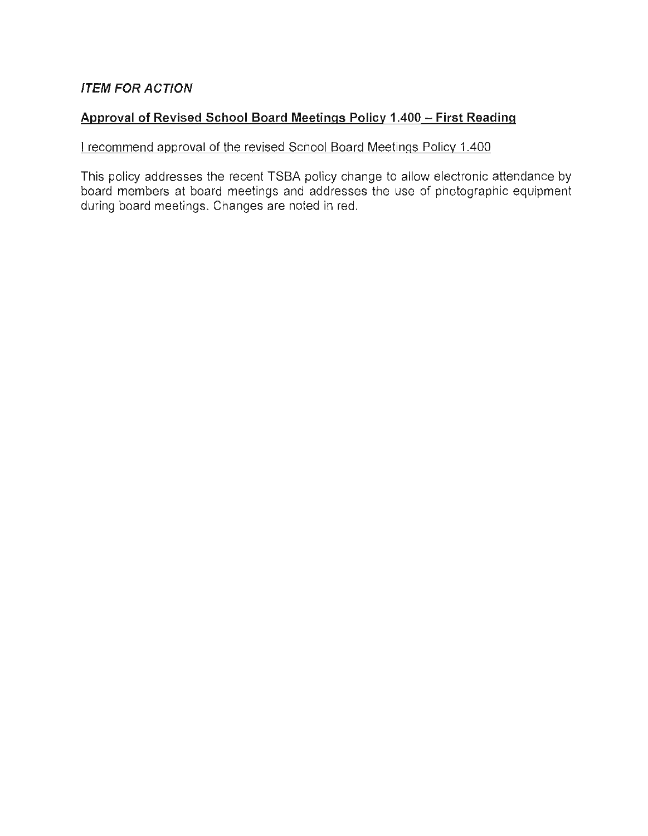#### **ITEM FOR ACTION**

#### **Approval of Revised School Board Meetings Policy 1.400 - First Reading**

#### I recommend approval of the revised School Board Meetings Policy 1.400

This policy addresses the recent TSBA policy change to allow electronic attendance by board members at board meetings and addresses the use of photographic equipment during board meetings. Changes are noted in red.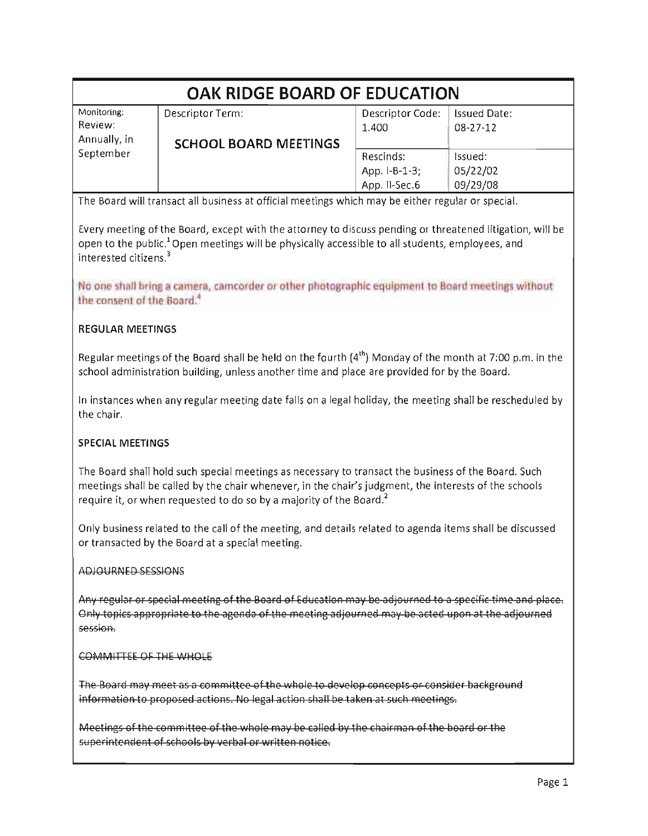| OAK RIDGE BOARD OF EDUCATION                                                                                                                                                                                                                                                                    |                                                                                                                                                                                                                                                                                                                               |                  |                     |  |  |  |  |
|-------------------------------------------------------------------------------------------------------------------------------------------------------------------------------------------------------------------------------------------------------------------------------------------------|-------------------------------------------------------------------------------------------------------------------------------------------------------------------------------------------------------------------------------------------------------------------------------------------------------------------------------|------------------|---------------------|--|--|--|--|
| Monitoring:                                                                                                                                                                                                                                                                                     | Descriptor Term:                                                                                                                                                                                                                                                                                                              | Descriptor Code: | <b>Issued Date:</b> |  |  |  |  |
| Review:<br>Annually, in                                                                                                                                                                                                                                                                         |                                                                                                                                                                                                                                                                                                                               | 1.400            | 08-27-12            |  |  |  |  |
| September                                                                                                                                                                                                                                                                                       | <b>SCHOOL BOARD MEETINGS</b>                                                                                                                                                                                                                                                                                                  | Rescinds:        | Issued:             |  |  |  |  |
|                                                                                                                                                                                                                                                                                                 |                                                                                                                                                                                                                                                                                                                               | App. I-B-1-3;    | 05/22/02            |  |  |  |  |
|                                                                                                                                                                                                                                                                                                 |                                                                                                                                                                                                                                                                                                                               | App. II-Sec.6    | 09/29/08            |  |  |  |  |
|                                                                                                                                                                                                                                                                                                 | The Board will transact all business at official meetings which may be either regular or special.                                                                                                                                                                                                                             |                  |                     |  |  |  |  |
| interested citizens. <sup>3</sup>                                                                                                                                                                                                                                                               | Every meeting of the Board, except with the attorney to discuss pending or threatened litigation, will be<br>open to the public. <sup>1</sup> Open meetings will be physically accessible to all students, employees, and<br>No one shall bring a camera, camcorder or other photographic equipment to Board meetings without |                  |                     |  |  |  |  |
| the consent of the Board. <sup>4</sup>                                                                                                                                                                                                                                                          |                                                                                                                                                                                                                                                                                                                               |                  |                     |  |  |  |  |
| <b>REGULAR MEETINGS</b>                                                                                                                                                                                                                                                                         |                                                                                                                                                                                                                                                                                                                               |                  |                     |  |  |  |  |
|                                                                                                                                                                                                                                                                                                 | Regular meetings of the Board shall be held on the fourth $(4th)$ Monday of the month at 7:00 p.m. in the<br>school administration building, unless another time and place are provided for by the Board.                                                                                                                     |                  |                     |  |  |  |  |
| In instances when any regular meeting date falls on a legal holiday, the meeting shall be rescheduled by<br>the chair.                                                                                                                                                                          |                                                                                                                                                                                                                                                                                                                               |                  |                     |  |  |  |  |
| SPECIAL MEETINGS                                                                                                                                                                                                                                                                                |                                                                                                                                                                                                                                                                                                                               |                  |                     |  |  |  |  |
| The Board shall hold such special meetings as necessary to transact the business of the Board. Such<br>meetings shall be called by the chair whenever, in the chair's judgment, the interests of the schools<br>require it, or when requested to do so by a majority of the Board. <sup>2</sup> |                                                                                                                                                                                                                                                                                                                               |                  |                     |  |  |  |  |
| Only business related to the call of the meeting, and details related to agenda items shall be discussed<br>or transacted by the Board at a special meeting.                                                                                                                                    |                                                                                                                                                                                                                                                                                                                               |                  |                     |  |  |  |  |
| ADJOURNED SESSIONS                                                                                                                                                                                                                                                                              |                                                                                                                                                                                                                                                                                                                               |                  |                     |  |  |  |  |
| Any regular or special meeting of the Board of Education may be-adjourned to a specific time and place.<br>Only topics appropriate to the agenda of the meeting adjourned may be acted upon at the adjourned<br>session.                                                                        |                                                                                                                                                                                                                                                                                                                               |                  |                     |  |  |  |  |
| COMMITTEE OF THE WHOLE                                                                                                                                                                                                                                                                          |                                                                                                                                                                                                                                                                                                                               |                  |                     |  |  |  |  |
| The Board may meet as a committee of the whole to develop concepts or consider background<br>information to proposed actions. No legal action shall be taken at such meetings.                                                                                                                  |                                                                                                                                                                                                                                                                                                                               |                  |                     |  |  |  |  |

Meetings of the committee of the whole may be called by the chairman of the board or the superintendent of schools by verbal or written notice.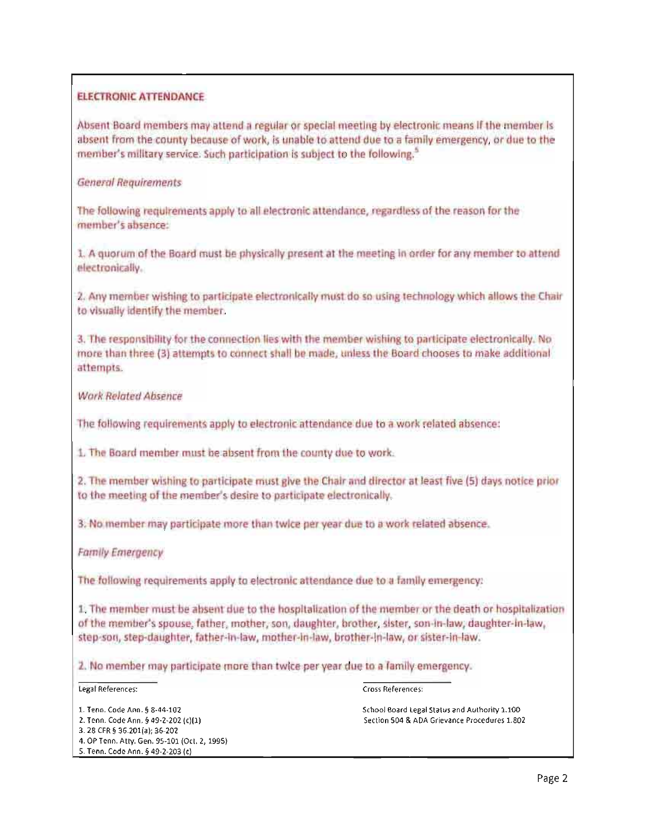#### ELECTRONIC ATTENDANCE

Absent Board members may attend a regular or special meeting by electronic means If the member is absent from the county because of work, is unable to attend due to a family emergency, or due to the member's military service. Such participation is subject to the following,<sup>5</sup>

#### General Reqvlrements

The following requirements apply to all electronic attendance, regardless of the reason for the member's absence:

1. A quorum of the Board must be physically present at the meeting in order for any member to attend electronically.

2, Any member wishing to participate electronically must do so using technology which allows the Chair to visually identify the memher,

3. The responsibility for the connection lies with the member wishing to participate electronically. No more than three (3) attempts to connect shall be made, unless the Board chooses to make additional attempts,

#### Work Related Absence

The following requirements apply to electronic attendance due to a work related absence:

1. The Board member must be absent from the county due to work.

2. The member wishing to participate must give the Chair and director at least five (5) days notice prior to the meeting of the member's desire to participate electronically.

3. No member may participate more than twice per year due to a work related absence.

#### Family Emergency

The following requirements apply to electronic attendance due to a family emergency:

1. The member must be absent due to the hospitalization of the member or the death or hospitalization of the member's spouse, father, mother, son, daughter, brother, sister, son-in-law, daughter-in-law, step-son, step-daughter, father-in-law, mother-in-law, brother-in-law, or sister-in-law.

2. No member may participate more than twice per year due to a family emergency.

#### Legal References:

#### Cross References:

- 1. Teon. Code Ann. § 8-44-102 2. Tenn. Code Ann. § 49-2-202 (c)ll)
- 3. 28 CFR § 36.201(a); 36-202
- 4. OP Tenn. Atty. Gen. 95·101 (Oct. 2, 1995)
- 5. Tenn. Code Ann. § 49-2-203 (el

School Board legal Status and Authority 1.100 Section 504 & ADA Grievance Procedures 1.802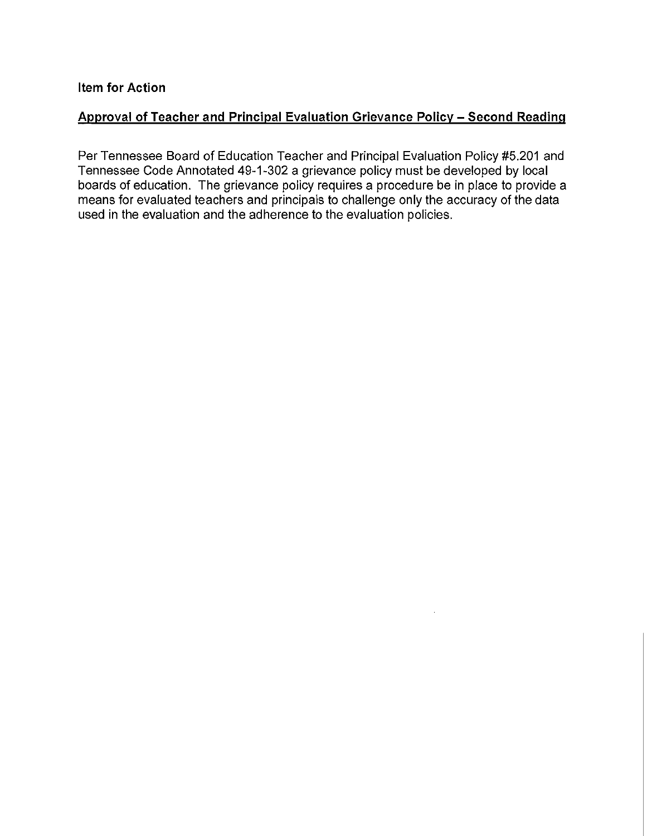#### Approval of Teacher and Principal Evaluation Grievance Policy - Second Reading

Per Tennessee Board of Education Teacher and Principal Evaluation Policy #5.201 and Tennessee Code Annotated 49-1-302 a grievance policy must be developed by local boards of education. The grievance policy requires a procedure be in place to provide a means for evaluated teachers and principals to challenge only the accuracy of the data used in the evaluation and the adherence to the evaluation policies.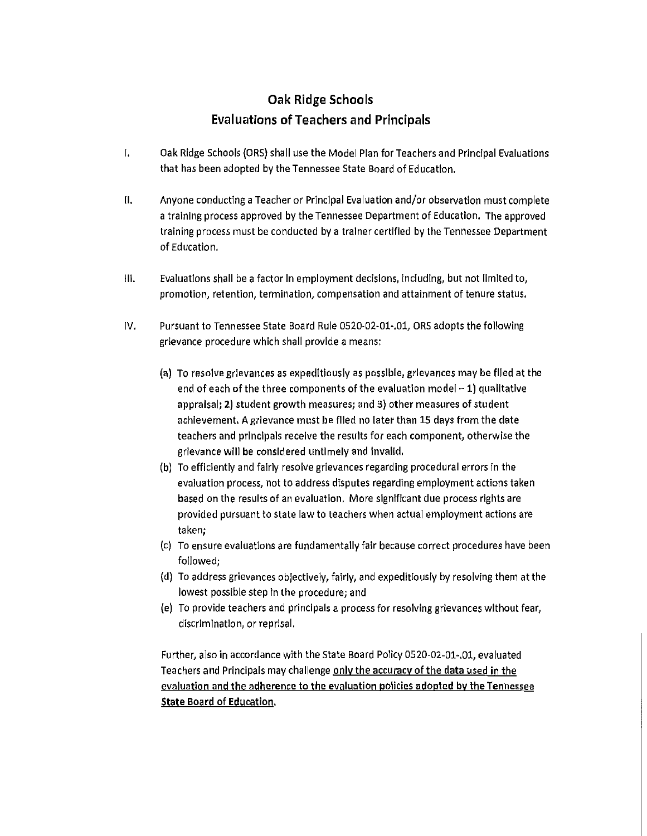#### **Oak Ridge Schools Evaluations** of Teachers **and Principals**

- r. Oak Ridge Schools (ORS) shall use the Model Plan for Teachers and Principal Evaluations that has been adopted by the Tennessee State Board of Education.
- II. Anyone conducting a Teacher or Principal Evaluation and/or observation must complete a training process approved by the Tennessee Department of Education. The approved training process must be conducted by a trainer certified by the Tennessee Department of Education.
- III. Evaluations shall be a factor In employment decisions, Including, but not limited to, promotion, retention, termination, compensation and attainment of tenure status.
- IV. Pursuant to Tennessee State Board Rule 0520-02-01-.01, ORS adopts the following grievance procedure which shall provide a means:
	- (al To resolve grieVances as expeditiously as possible, grievances may be flied at the end of each of the three components of the evaluation model  $-1$ ) qualitative appraisal; 2) student growth measures; and 3) other measures of student achievement. A grievance must be filed no later than 15 days from the date teachers and principals receive the results for each component, otherwise the grievance will be considered untimely and invalid.
	- (b) To efficiently and fairly resolve grievances regarding procedural errors in the evaluation process, not to address disputes regarding employment actions taken based on the results of an evaluation. More significant due process rights are provided pursuant to state law to teachers when actual employment actions are taken;
	- (c) To ensure evaluations are fundamentally fair because correct procedures have been followed;
	- (d) To address grievances objectively, fairly, and expeditiously by resolving them at the lowest possible step in the procedure; and
	- (e) To provide teachers and principals a process for resolving grievances without fear, discrlm Ination, or reprisal.

Further, also in accordance with the State Board Policy 0520-02-01-.01, evaluated Teachers and Principals may challenge onlv the accuracy of the data used in the evaluation and the adherence to the evaluation policies adopted by the Tennessee State Board of Education.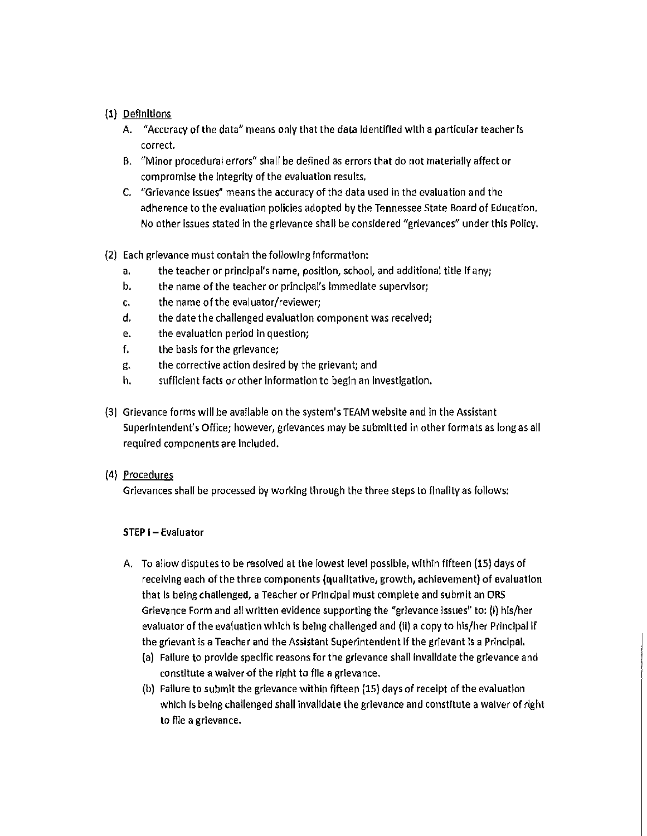#### (I) Definitions

- A. "Accuracy of the data" means only that the data Identified with a particular teacher is correc\.
- B. "Minor procedural errors" shall be defined as errors that do not materially affect or compromise the Integrity of the evaluation results.
- C. "Grievance Issues" means the accuracy of the data used in the evaluation and the adherence to the evaluation policies adopted by the Tennessee State Board of Education. No other Issues stated In the grievance shall be considered "grievances" under this Policy.

#### (2) Each grievance must contain the following Information:

- a. the teacher or principal's name, position, school, and additional title If any;
- b. the name of the teacher or principal's immediate supervisor;
- c. the name of the evaluator/reviewer;
- d. the date the challenged evaluation component was received;
- e. the evaluation period in question;
- f. the basis for the grievance;
- g. the corrective action desired by the grievant; and
- h. sufficient facts or other information to begin an Investigation.
- (3) Grievance forms will be available on the system's TEAM website and in the Assistant Superintendent's Office; however, grievances may be submitted in other formats as long as all required components are Included.

#### (4) Procedures

Grievances shall be processed by working through the three steps to finality as follows:

#### STEP I - Evaluator

- A. To allow disputes to be resolved at the lowest level possible, within fifteen {IS} days of receiving each of the three components (qualitative, growth, achievement) of evaluation that Is being challenged, a Teacher or Principal must complete and submit an ORS Grievance Form and all written evidence supporting the "grievance Issues" to: {I} his/her evaluator of the evaluation which is being challenged and (iI) a copy to his/her Principal If the grievant Is a Teacher and the Assistant Superintendent If the grievant Is a Principal.
	- (a) Failure to provide specific reasons for the grievance shall Invalidate the grievance and constitute a waiver of the right to flle a grievance.
	- (b) Failure to submit the grievance within fifteen (15) days of receipt of the evaluation which is being challenged shall Invalidate the grievance and constitute a waiver of right to file a grievance.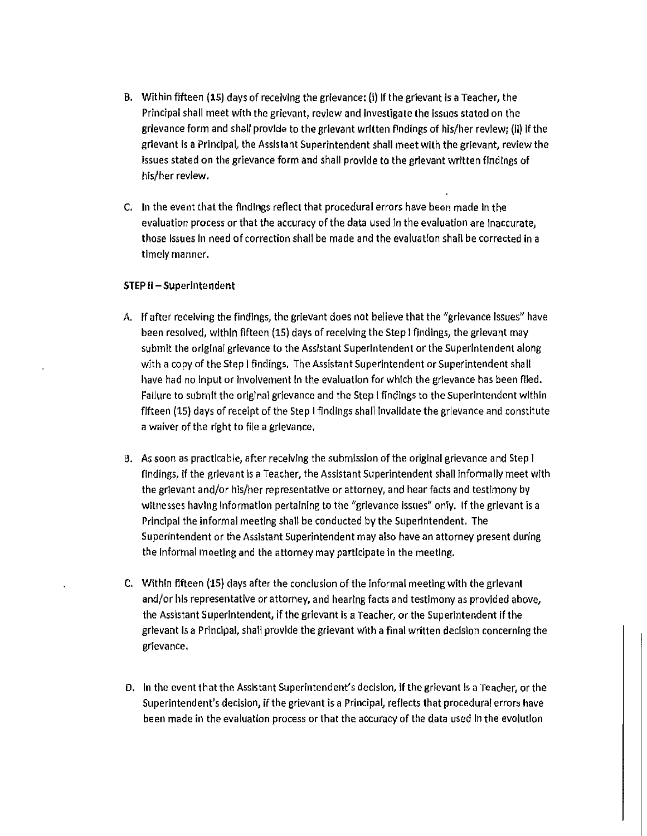- B. Within fifteen (15) days of receiVIng the grievance: (i) If the grievant Is a Teacher, the Principal shall meet with the grievant, review and Investigate the Issues stated on the grievance form and shall provide to the grievant written findings of his/her review; (Il) If the grievant is a Principal, the Assistant Superintendent shall meet with the grievant, review the issues stated on the grievance form and shall provide to the grievant written findings of his/her review.
- C. In the event that the findings reflect that procedural errors have been made In the evaluation process or that the accuracy of the data used In the evaluation are Inaccurate, those issues in need of correction shall be made and the evaluation shall be corrected in a timely manner.

#### **STEP 11-**Superintendent

- A. If after receiving the findings, the grievant does not believe that the "grievance Issues" have been resolved, within fifteen (15) days of receiving the Step I findings, the grievant may submit the original grievance to the Assistant Superintendent or the superintendent along with a copy of the Step I findings. The Assistant Superintendent or Superintendent shall have had no Input or Involvement In the evaluation for which the grievance has been filed. Failure to submit the original grievance and the Step I findings to the Superintendent within fifteen (15) days of receipt of the Step I findings shall Invalidate the grievance and constitute a waiver of the right to file a grievance.
- B. As soon as practicable, after receiving the submission of the original gfievance and Step I findings, if the grievant Is a Teacher, the Assistant Superintendent shall informally meet with the grievant and/or his/her representative or attorney, and hear facts and testimony by witnesses having information pertaining to the "grievance issues" only. If the grievant is a Principal the Informal meeting shall be conducted by the Superintendent. The Superintendent or the Assistant Superintendent may also have an attorney present during the Informal meeting and the attorney may participate in the meeting.
- C. Within fifteen (15) days after the conclusion of the informal meeting with the grievant and/or his representative or attorney, and hearing facts and testimony as provided above, the Assistant Superintendent, if the grievant is a Teacher, or the Superintendent if the grievant Is a Principal, shall provide the grievant with a final written decision concerning the grievance.
- D. In the event that the Assistant Superintendent's decision, If the grievant Is a Teacher, or the Superintendent's decision, if the grievant is a Principal, reflects that procedural errors have been made in the evaluation process or that the accuracy of the data used In the evolution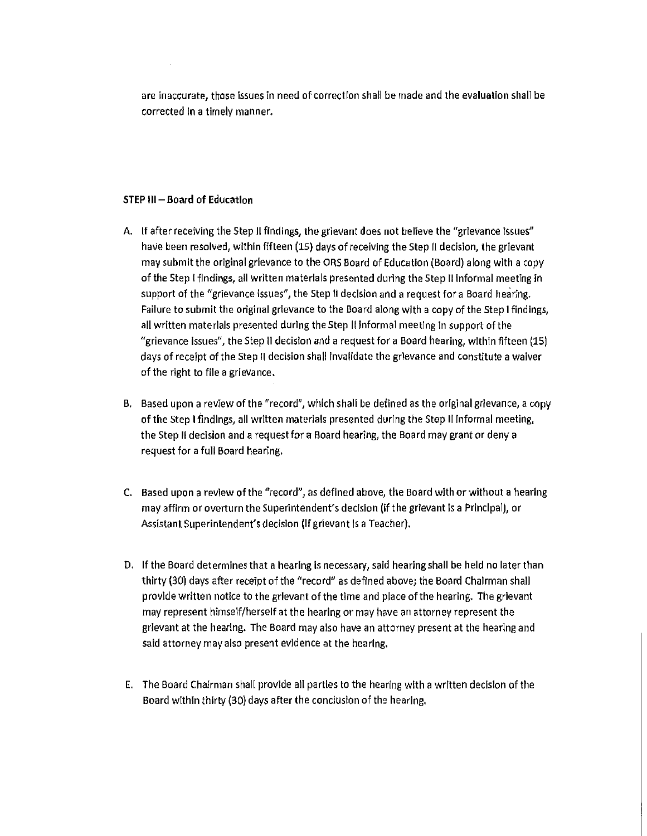are inaccurate, those Issues in need of correction shall be made and the evaluation shall be corrected In a timely manner.

#### STEP 111- Board **of** Education

- A. If after receiving the Step II findings, the grievant does not believe the "grievance Issues" haVe been resolved, within fifteen (15) days of receiving the Step II decision, the grievant may submit the original grievance to the ORS Board of Education (Board) along with a copy of the Step I findings, all written materials presented during the Step II Informal meeting in support of the "grievance issues", the Step II decision and a request for a Board hearing. Failure to submit the original grievance to the Board along with a copy of the Step I findings, all written materials presented during the Step II informal meeting in support of the "grievance Issues", the Step II decision and a request for a Board hearing, within fifteen (15) days of receipt of the Step II decision shall Invalidate the grievance and constitute a waiver of the right to file a grievance.
- B. Based upon a review of the "record", which shall be defined as the original grievance, a copy of the Step I findings, all written materials presented during the Step II informal meeting, the Step II decision and a request for a Board hearing, the Board may grant or deny a request for a full Board hearing.
- C. Based upon a review of the "record", as defined above, the Board with or without a hearing may affirm or overturn the Superintendent's decision (if the grievant Is a Principal), or Assistant Superintendent's decision (If grievant Is a Teacher).
- D. If the Board determines that a hearing is necessary, said hearing shall be held no later than thirty (30) days after receipt of the "record" as defined above; the Board Chairman shall provide written notice to the grievant of the time and place of the hearing. The grievant may represent himself/herself at the hearing or may have an attorney represent the grievant at the hearIng. The Board may also have an attorney present at the hearing and said attorney may also present evidence at the hearing.
- E. The Board Chairman shall provide all parties to the hearing with a written decisIon of the Board within thirty (30) days after the conclusion of the hearing.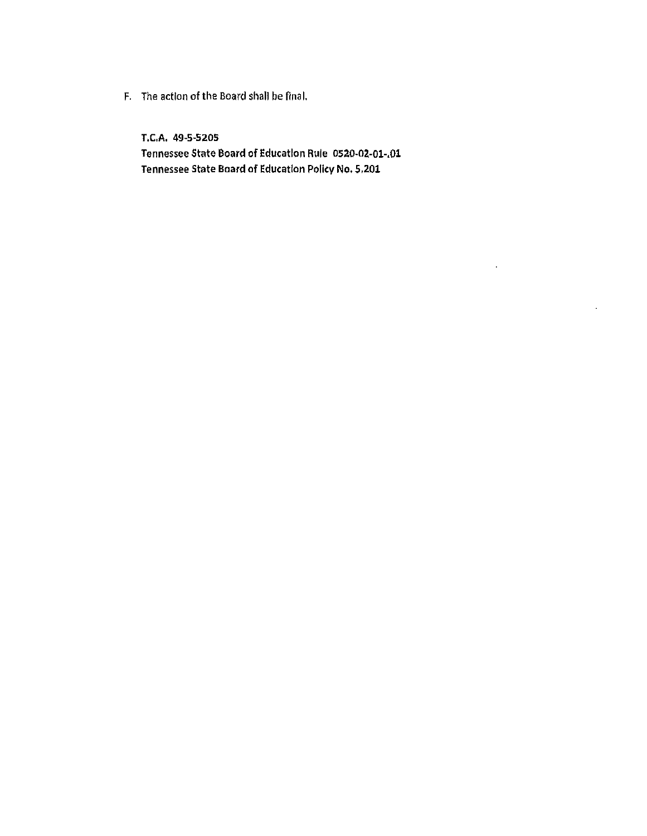F. The action of the Board shall be final.

T.e,A. 49-5-5205 Tennessee State Board of Education Rule 0520-02-01-.01 Tennessee State Board of Education Policy No. 5,201

 $\cdot$ 

 $\epsilon$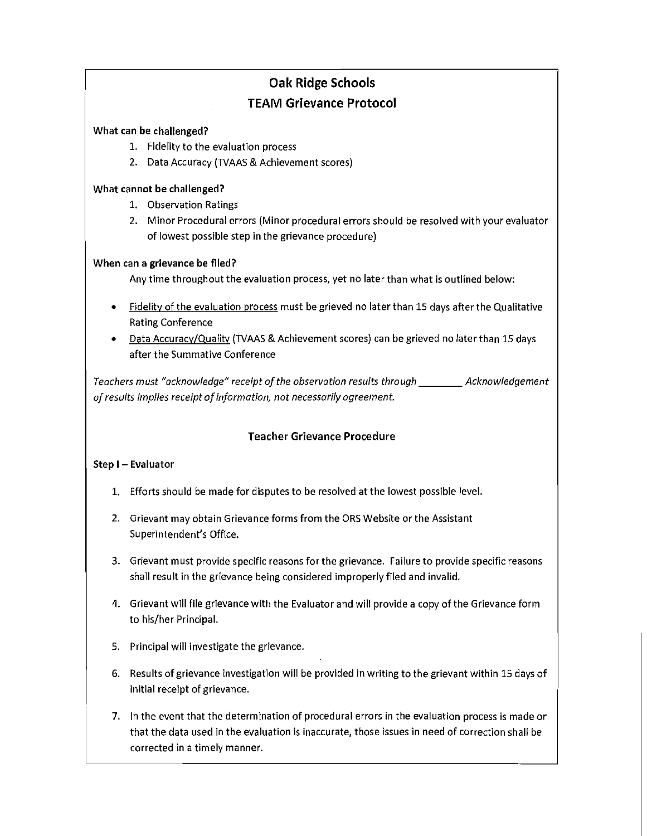#### **Oak Ridge Schools TEAM Grievance Protocol**

#### What can be challenged?

- 1. Fidelity to the evaluation process
- 2. Data Accuracy (TVAAS & Achievement scores)

#### What cannot be challenged?

- 1. Observation Ratings
- 2. Minor Procedural errors (Minor procedural errors should be resolved with your evaluator of lowest possible step in the grievance procedure)

#### When can a grievance be filed?

Any time throughout the evaluation process, yet no later than what is outlined below:

- Fidelity of the evaluation process must be grieved no later than 15 days after the Qualitative Rating Conference
- Data Accuracy/Quality (TVAAS & Achievement scores) can be grieved no later than 15 days after the Summative Conference

*Teachers must "acknowledge" receipt of the observation results through* \_\_\_\_ *Acknowledgement of results implies receipt of information, not necessarily agreement.* 

#### Teacher Grievance Procedure

#### Step I - Evaluator

- 1. Efforts should be made for disputes to be resolved at the lowest possible level.
- 2. Grievant may obtain Grievance forms from the ORS Website or the Assistant Superintendent's Office.
- 3. Grievant must provide specific reasons for the grievance. Failure to provide specific reasons shall result in the grievance being considered improperly filed and invalid.
- 4. Grievant will file grievance with the Evaluator and will provide a copy of the Grievance form to his/her Principal.
- 5. Principal will investigate the grievance.
- 6. Results of grievance investigation will be provided in writing to the grievant within 15 days of initial receipt of grievance.
- 7. In the event that the determination of procedural errors in the evaluation process is made or that the data used in the evaluation is inaccurate, those issues in need of correction shall be corrected in a timely manner.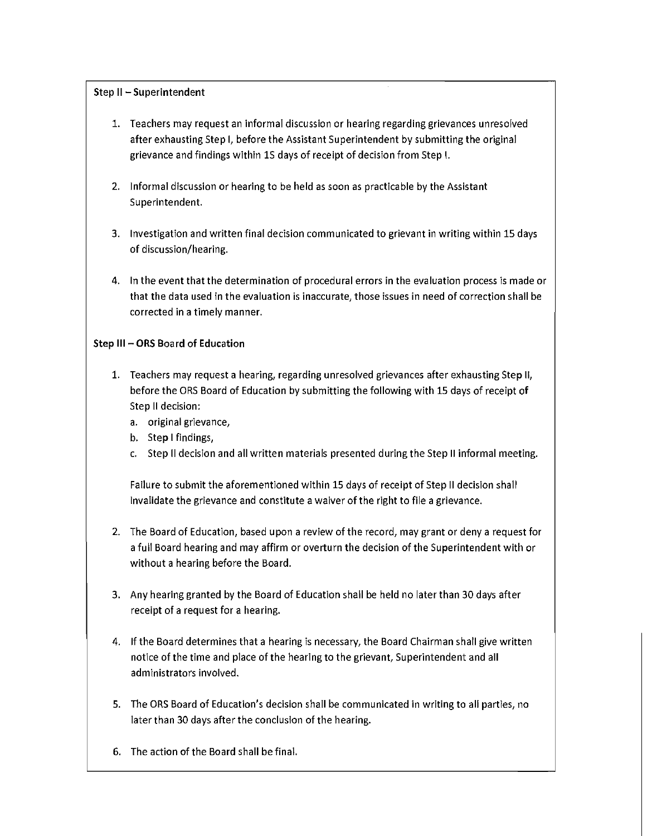#### Step II - Superintendent

- 1. Teachers may request an informal discussion or hearing regarding grievances unresolved after exhausting Step I, before the Assistant Superintendent by submitting the original grievance and findings within 1S days of receipt of decision from Step I.
- 2. Informal discussion or hearing to be held as soon as practicable by the Assistant Superintendent.
- 3. Investigation and written final decision communicated to grievant in writing within 15 days of discussion/hearing.
- 4. In the event that the determination of procedural errors in the evaluation process is made or that the data used in the evaluation is inaccurate, those issues in need of correction shall be corrected in a timely manner.

#### Step III - **ORS** Board of Education

- 1. Teachers may request a hearing, regarding unresolved grievances after exhausting Step II, before the ORS Board of Education by submitting the following with 15 days of receipt of Step II decision:
	- a. original grievance,
	- b. Step I findings,
	- c. Step II decision and all written materials presented during the Step II informal meeting.

Failure to submit the aforementioned within 15 days of receipt of Step II decision shall invalidate the grievance and constitute a waiver of the right to file a grievance.

- 2. The Board of Education, based upon a review of the record, may grant or deny a request for a full Board hearing and may affirm or overturn the decision of the Superintendent with or without a hearing before the Board.
- 3. Any hearing granted by the Board of Education shall be held no later than 30 days after receipt of a request for a hearing.
- 4. If the Board determines that a hearing is necessary, the Board Chairman shall give written notice of the time and place of the hearing to the grievant, Superintendent and all administrators involved.
- 5. The ORS Board of Education's decision shall be communicated in writing to all parties, no later than 30 days after the conclusion of the hearing.
- 6. The action of the Board shall be final.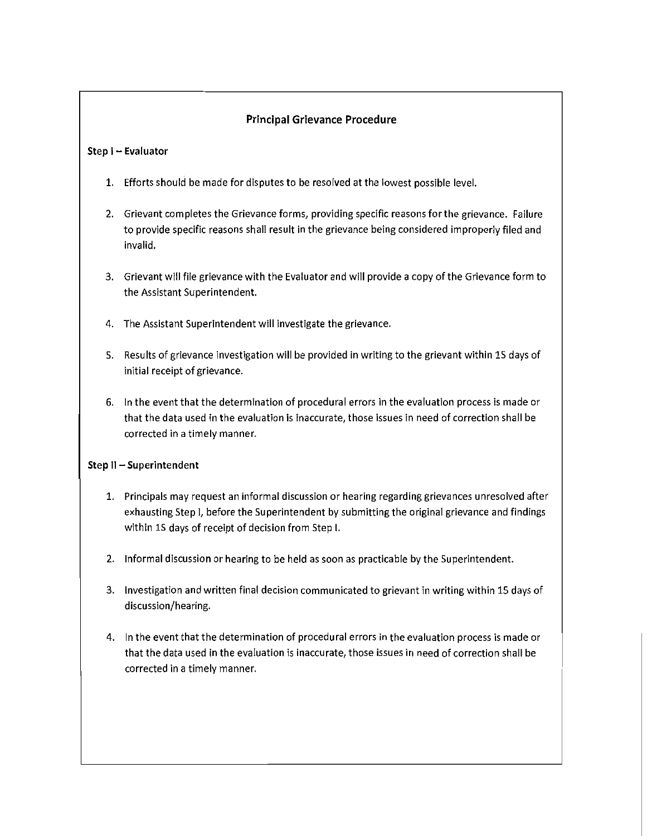#### Principal Grievance Procedure

#### Step I - Evaluator

- 1. Efforts should be made for disputes to be resolved at the lowest possible level.
- 2. Grievant completes the Grievance forms, providing specific reasons for the grievance. Failure to provide specific reasons shall result in the grievance being considered improperly filed and invalid.
- 3. Grievant will file grievance with the Evaluator and will provide a copy of the Grievance form to the Assistant Superintendent.
- 4. The Assistant Superintendent will investigate the grievance.
- 5. Results of grievance investigation will be provided in writing to the grievant within 15 days of initial receipt of grievance.
- 6. In the event that the determination of procedural errors in the evaluation process is made or that the data used in the evaluation is inaccurate, those issues in need of correction shall be corrected in a timely manner.

#### Step II - Superintendent

- 1. Principals may request an informal discussion or hearing regarding grievances unresolved after exhausting Step I, before the Superintendent by submitting the original grievance and findings within 15 days of receipt of decision from Step I.
- 2. Informal discussion or hearing to be held as soon as practicable by the Superintendent.
- 3. Investigation and written final decision communicated to grievant in writing within 15 days of discussion/hearing.
- 4. In the event that the determination of procedural errors in the evaluation process is made or that the data used in the evaluation is inaccurate, those issues in need of correction shall be corrected in a timely manner.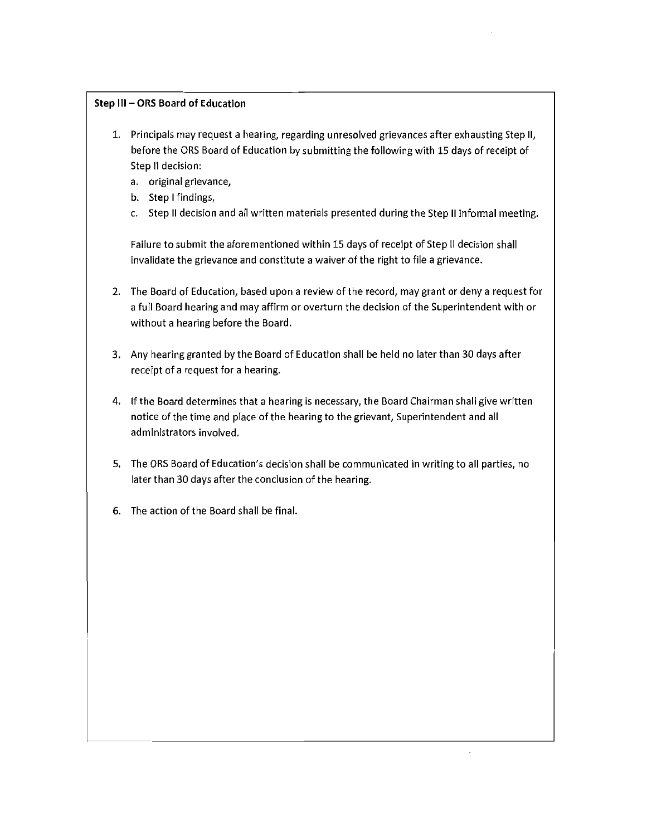#### Step III - ORS Board of Education

- 1. Principals may request a hearing, regarding unresolved grievances after exhausting Step II, before the ORS Board of Education by submitting the following with 15 days of receipt of Step II decision:
	- a. original grievance,
	- b. Step I findings,
	- c. Step II decision and all written materials presented during the Step II informal meeting.

Failure to submit the aforementioned within 15 days of receipt of Step II decision shall invalidate the grievance and constitute a waiver of the right to file a grievance.

- 2. The Board of Education, based upon a review of the record, may grant or deny a requestfor a full Board hearing and may affirm or overturn the decision of the Superintendent with or without a hearing before the Board.
- 3. Any hearing granted by the Board of Education shall be held no later than 30 days after receipt of a request for a hearing.
- 4. If the Board determines that a hearing is necessary, the Board Chairman shall give written notice of the time and place of the hearing to the grievant, Superintendent and all administrators involved.
- 5. The ORS Board of Education's decision shall be communicated in writing to all parties, no later than 30 days after the conclusion of the hearing.
- 6. The action of the Board shall be final.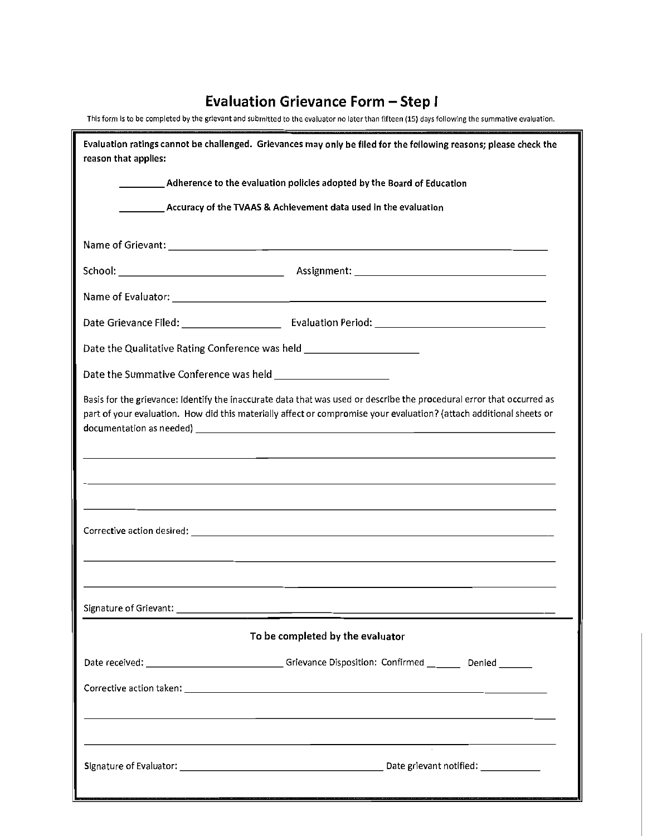#### Evaluation Grievance Form - Step I

| This form is to be completed by the grievant and submitted to the evaluator no later than fifteen (15) days following the summative evaluation.                                                                                              |  |  |  |  |  |
|----------------------------------------------------------------------------------------------------------------------------------------------------------------------------------------------------------------------------------------------|--|--|--|--|--|
| Evaluation ratings cannot be challenged. Grievances may only be filed for the following reasons; please check the<br>reason that applies:                                                                                                    |  |  |  |  |  |
| <b>Example 2 Adherence to the evaluation policies adopted by the Board of Education</b>                                                                                                                                                      |  |  |  |  |  |
| Accuracy of the TVAAS & Achievement data used in the evaluation                                                                                                                                                                              |  |  |  |  |  |
|                                                                                                                                                                                                                                              |  |  |  |  |  |
|                                                                                                                                                                                                                                              |  |  |  |  |  |
|                                                                                                                                                                                                                                              |  |  |  |  |  |
|                                                                                                                                                                                                                                              |  |  |  |  |  |
| Date the Qualitative Rating Conference was held ________________________________                                                                                                                                                             |  |  |  |  |  |
|                                                                                                                                                                                                                                              |  |  |  |  |  |
| Basis for the grievance: Identify the inaccurate data that was used or describe the procedural error that occurred as<br>part of your evaluation. How did this materially affect or compromise your evaluation? (attach additional sheets or |  |  |  |  |  |
| ,我们也不会有什么。""我们的人,我们也不会有什么?""我们的人,我们也不会有什么?""我们的人,我们也不会有什么?""我们的人,我们也不会有什么?""我们的人<br>,我们也不会有什么。""我们的人,我们也不会有什么?""我们的人,我们也不会有什么?""我们的人,我们也不会有什么?""我们的人,我们也不会有什么?""我们的人                                                                         |  |  |  |  |  |
|                                                                                                                                                                                                                                              |  |  |  |  |  |
|                                                                                                                                                                                                                                              |  |  |  |  |  |
|                                                                                                                                                                                                                                              |  |  |  |  |  |
| To be completed by the evaluator                                                                                                                                                                                                             |  |  |  |  |  |
| Date received: _________________________________Grievance Disposition: Confirmed _________ Denied ________                                                                                                                                   |  |  |  |  |  |
|                                                                                                                                                                                                                                              |  |  |  |  |  |
| ,我们也不会有什么。""我们的人,我们也不会有什么?""我们的人,我们也不会有什么?""我们的人,我们也不会有什么?""我们的人,我们也不会有什么?""我们的人                                                                                                                                                             |  |  |  |  |  |
|                                                                                                                                                                                                                                              |  |  |  |  |  |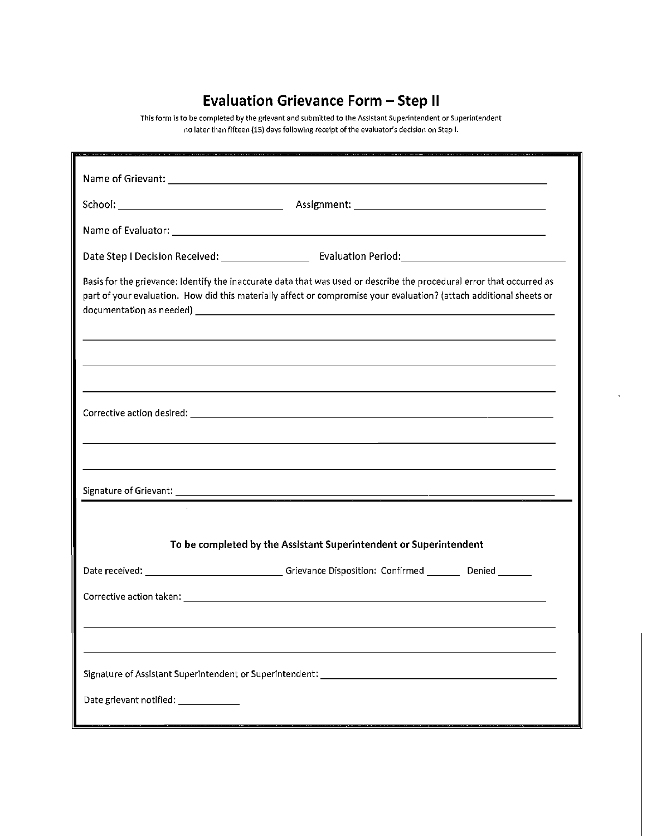#### **Evaluation Grievance Form - Step II**

**This form is to be completed** by the **grievant and submitted to the Assistant Superintendent or Superintendent no later than fifteen (is) days following receipt** of the **evaluator's decision on Step I.** 

| Basis for the grievance: Identify the inaccurate data that was used or describe the procedural error that occurred as<br>part of your evaluation. How did this materially affect or compromise your evaluation? (attach additional sheets or |  |  |  |  |  |  |
|----------------------------------------------------------------------------------------------------------------------------------------------------------------------------------------------------------------------------------------------|--|--|--|--|--|--|
| ,我们也不能会有一个人的事情。""我们的人们是不是我们的人,我们也不能会有一个人的人,我们也不能会有一个人的人,我们也不能会有一个人的人,我们也不能会有一个人的人<br>,我们也不会有什么。""我们的人,我们也不会有什么?""我们的人,我们也不会有什么?""我们的人,我们也不会有什么?""我们的人,我们也不会有什么?""我们的人                                                                        |  |  |  |  |  |  |
|                                                                                                                                                                                                                                              |  |  |  |  |  |  |
| ,我们也不会有什么。""我们的人,我们也不会有什么?""我们的人,我们也不会有什么?""我们的人,我们也不会有什么?""我们的人,我们也不会有什么?""我们的人                                                                                                                                                             |  |  |  |  |  |  |
|                                                                                                                                                                                                                                              |  |  |  |  |  |  |
|                                                                                                                                                                                                                                              |  |  |  |  |  |  |
| To be completed by the Assistant Superintendent or Superintendent                                                                                                                                                                            |  |  |  |  |  |  |
| Date received: ___________________________________Grievance Disposition: Confirmed _________ Denied ________                                                                                                                                 |  |  |  |  |  |  |
|                                                                                                                                                                                                                                              |  |  |  |  |  |  |
|                                                                                                                                                                                                                                              |  |  |  |  |  |  |
| Signature of Assistant Superintendent or Superintendent: ________________________                                                                                                                                                            |  |  |  |  |  |  |
| Date grievant notified: ____________                                                                                                                                                                                                         |  |  |  |  |  |  |